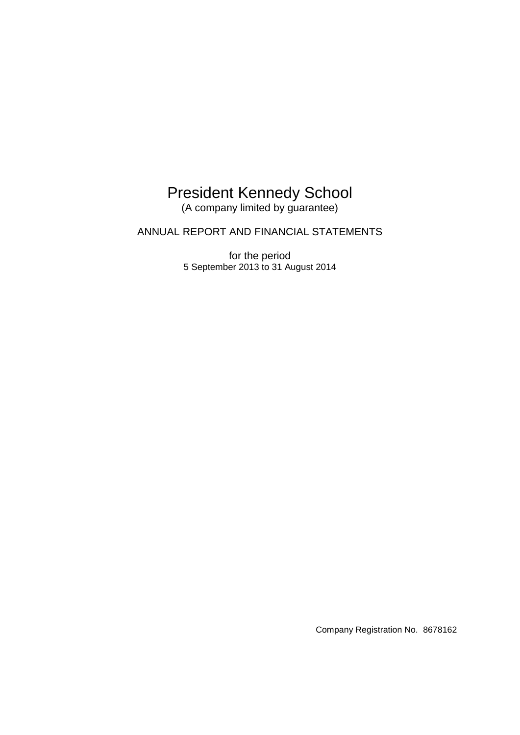## President Kennedy School

(A company limited by guarantee)

ANNUAL REPORT AND FINANCIAL STATEMENTS

for the period 5 September 2013 to 31 August 2014

Company Registration No. 8678162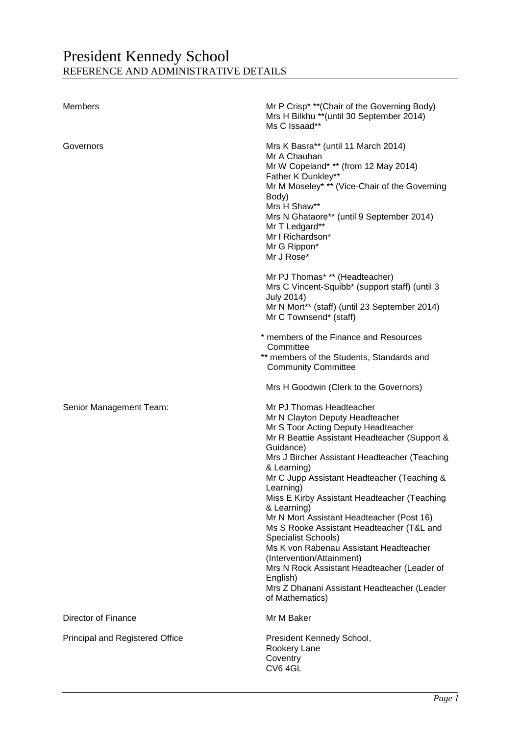## President Kennedy School REFERENCE AND ADMINISTRATIVE DETAILS

| Members                                | Mr P Crisp* ** (Chair of the Governing Body)<br>Mrs H Bilkhu ** (until 30 September 2014)<br>Ms C Issaad**                                                                                                                                                                                                                                                                                                                                                                                                                                                                                                                                                                       |
|----------------------------------------|----------------------------------------------------------------------------------------------------------------------------------------------------------------------------------------------------------------------------------------------------------------------------------------------------------------------------------------------------------------------------------------------------------------------------------------------------------------------------------------------------------------------------------------------------------------------------------------------------------------------------------------------------------------------------------|
| Governors                              | Mrs K Basra** (until 11 March 2014)<br>Mr A Chauhan<br>Mr W Copeland* ** (from 12 May 2014)<br>Father K Dunkley**<br>Mr M Moseley* ** (Vice-Chair of the Governing<br>Body)<br>Mrs H Shaw**<br>Mrs N Ghataore** (until 9 September 2014)<br>Mr T Ledgard**<br>Mr I Richardson*<br>Mr G Rippon*<br>Mr J Rose*                                                                                                                                                                                                                                                                                                                                                                     |
|                                        | Mr PJ Thomas* ** (Headteacher)<br>Mrs C Vincent-Squibb* (support staff) (until 3<br><b>July 2014)</b><br>Mr N Mort** (staff) (until 23 September 2014)<br>Mr C Townsend* (staff)                                                                                                                                                                                                                                                                                                                                                                                                                                                                                                 |
|                                        | * members of the Finance and Resources<br>Committee<br>** members of the Students, Standards and<br><b>Community Committee</b>                                                                                                                                                                                                                                                                                                                                                                                                                                                                                                                                                   |
|                                        | Mrs H Goodwin (Clerk to the Governors)                                                                                                                                                                                                                                                                                                                                                                                                                                                                                                                                                                                                                                           |
| Senior Management Team:                | Mr PJ Thomas Headteacher<br>Mr N Clayton Deputy Headteacher<br>Mr S Toor Acting Deputy Headteacher<br>Mr R Beattie Assistant Headteacher (Support &<br>Guidance)<br>Mrs J Bircher Assistant Headteacher (Teaching<br>& Learning)<br>Mr C Jupp Assistant Headteacher (Teaching &<br>Learning)<br>Miss E Kirby Assistant Headteacher (Teaching<br>& Learning)<br>Mr N Mort Assistant Headteacher (Post 16)<br>Ms S Rooke Assistant Headteacher (T&L and<br>Specialist Schools)<br>Ms K von Rabenau Assistant Headteacher<br>(Intervention/Attainment)<br>Mrs N Rock Assistant Headteacher (Leader of<br>English)<br>Mrs Z Dhanani Assistant Headteacher (Leader<br>of Mathematics) |
| Director of Finance                    | Mr M Baker                                                                                                                                                                                                                                                                                                                                                                                                                                                                                                                                                                                                                                                                       |
| <b>Principal and Registered Office</b> | President Kennedy School,<br>Rookery Lane<br>Coventry<br>CV6 4GL                                                                                                                                                                                                                                                                                                                                                                                                                                                                                                                                                                                                                 |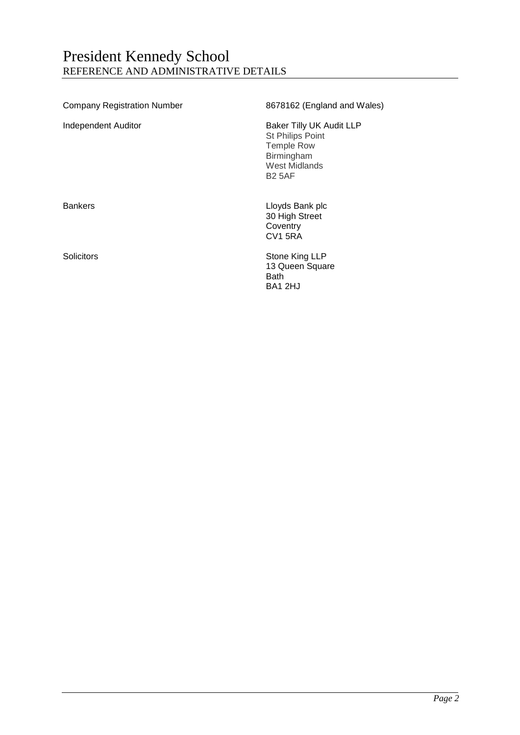## President Kennedy School REFERENCE AND ADMINISTRATIVE DETAILS

| <b>Company Registration Number</b> | 8678162 (England and Wales)                                                                                       |
|------------------------------------|-------------------------------------------------------------------------------------------------------------------|
| Independent Auditor                | Baker Tilly UK Audit LLP<br>St Philips Point<br><b>Temple Row</b><br>Birmingham<br>West Midlands<br><b>B2 5AF</b> |
| <b>Bankers</b>                     | Lloyds Bank plc<br>30 High Street<br>Coventry<br><b>CV1 5RA</b>                                                   |
| Solicitors                         | Stone King LLP<br>13 Queen Square<br>Bath<br>BA1 2HJ                                                              |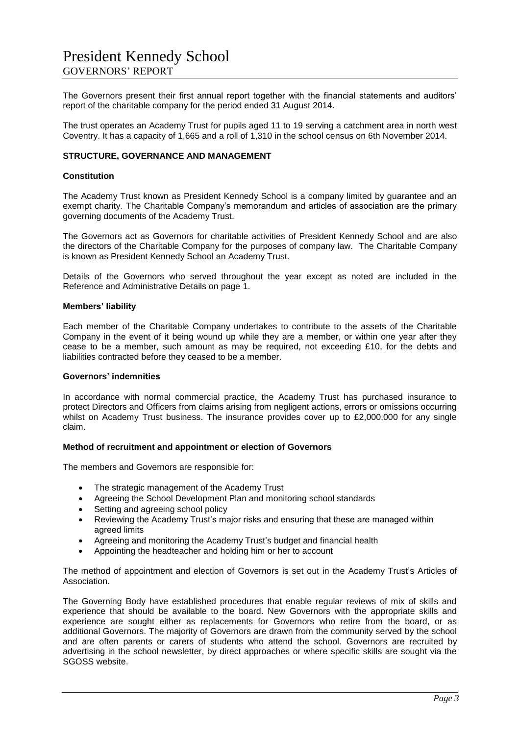The Governors present their first annual report together with the financial statements and auditors' report of the charitable company for the period ended 31 August 2014.

The trust operates an Academy Trust for pupils aged 11 to 19 serving a catchment area in north west Coventry. It has a capacity of 1,665 and a roll of 1,310 in the school census on 6th November 2014.

#### **STRUCTURE, GOVERNANCE AND MANAGEMENT**

#### **Constitution**

The Academy Trust known as President Kennedy School is a company limited by guarantee and an exempt charity. The Charitable Company's memorandum and articles of association are the primary governing documents of the Academy Trust.

The Governors act as Governors for charitable activities of President Kennedy School and are also the directors of the Charitable Company for the purposes of company law. The Charitable Company is known as President Kennedy School an Academy Trust.

Details of the Governors who served throughout the year except as noted are included in the Reference and Administrative Details on page 1.

#### **Members' liability**

Each member of the Charitable Company undertakes to contribute to the assets of the Charitable Company in the event of it being wound up while they are a member, or within one year after they cease to be a member, such amount as may be required, not exceeding £10, for the debts and liabilities contracted before they ceased to be a member.

#### **Governors' indemnities**

In accordance with normal commercial practice, the Academy Trust has purchased insurance to protect Directors and Officers from claims arising from negligent actions, errors or omissions occurring whilst on Academy Trust business. The insurance provides cover up to £2,000,000 for any single claim.

#### **Method of recruitment and appointment or election of Governors**

The members and Governors are responsible for:

- The strategic management of the Academy Trust
- Agreeing the School Development Plan and monitoring school standards
- Setting and agreeing school policy
- Reviewing the Academy Trust's major risks and ensuring that these are managed within agreed limits
- Agreeing and monitoring the Academy Trust's budget and financial health
- Appointing the headteacher and holding him or her to account

The method of appointment and election of Governors is set out in the Academy Trust's Articles of Association.

The Governing Body have established procedures that enable regular reviews of mix of skills and experience that should be available to the board. New Governors with the appropriate skills and experience are sought either as replacements for Governors who retire from the board, or as additional Governors. The majority of Governors are drawn from the community served by the school and are often parents or carers of students who attend the school. Governors are recruited by advertising in the school newsletter, by direct approaches or where specific skills are sought via the SGOSS website.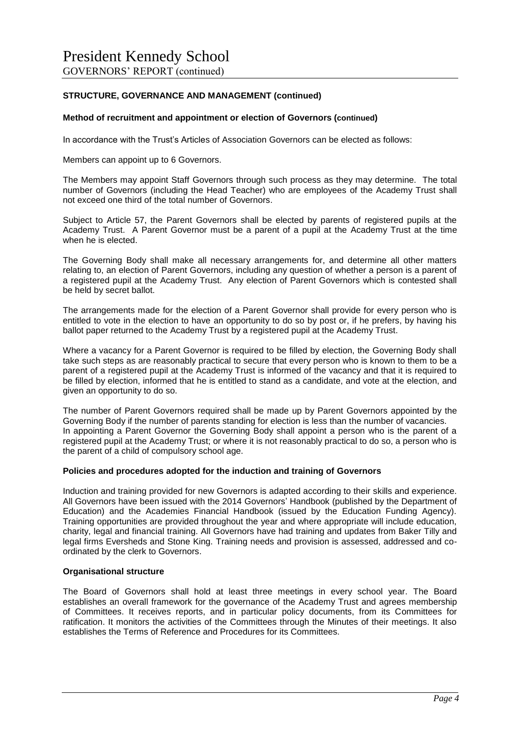#### **STRUCTURE, GOVERNANCE AND MANAGEMENT (continued)**

#### **Method of recruitment and appointment or election of Governors (continued)**

In accordance with the Trust's Articles of Association Governors can be elected as follows:

Members can appoint up to 6 Governors.

The Members may appoint Staff Governors through such process as they may determine. The total number of Governors (including the Head Teacher) who are employees of the Academy Trust shall not exceed one third of the total number of Governors.

Subject to Article 57, the Parent Governors shall be elected by parents of registered pupils at the Academy Trust. A Parent Governor must be a parent of a pupil at the Academy Trust at the time when he is elected.

The Governing Body shall make all necessary arrangements for, and determine all other matters relating to, an election of Parent Governors, including any question of whether a person is a parent of a registered pupil at the Academy Trust. Any election of Parent Governors which is contested shall be held by secret ballot.

The arrangements made for the election of a Parent Governor shall provide for every person who is entitled to vote in the election to have an opportunity to do so by post or, if he prefers, by having his ballot paper returned to the Academy Trust by a registered pupil at the Academy Trust.

Where a vacancy for a Parent Governor is required to be filled by election, the Governing Body shall take such steps as are reasonably practical to secure that every person who is known to them to be a parent of a registered pupil at the Academy Trust is informed of the vacancy and that it is required to be filled by election, informed that he is entitled to stand as a candidate, and vote at the election, and given an opportunity to do so.

The number of Parent Governors required shall be made up by Parent Governors appointed by the Governing Body if the number of parents standing for election is less than the number of vacancies. In appointing a Parent Governor the Governing Body shall appoint a person who is the parent of a registered pupil at the Academy Trust; or where it is not reasonably practical to do so, a person who is the parent of a child of compulsory school age.

#### **Policies and procedures adopted for the induction and training of Governors**

Induction and training provided for new Governors is adapted according to their skills and experience. All Governors have been issued with the 2014 Governors' Handbook (published by the Department of Education) and the Academies Financial Handbook (issued by the Education Funding Agency). Training opportunities are provided throughout the year and where appropriate will include education, charity, legal and financial training. All Governors have had training and updates from Baker Tilly and legal firms Eversheds and Stone King. Training needs and provision is assessed, addressed and coordinated by the clerk to Governors.

#### **Organisational structure**

The Board of Governors shall hold at least three meetings in every school year. The Board establishes an overall framework for the governance of the Academy Trust and agrees membership of Committees. It receives reports, and in particular policy documents, from its Committees for ratification. It monitors the activities of the Committees through the Minutes of their meetings. It also establishes the Terms of Reference and Procedures for its Committees.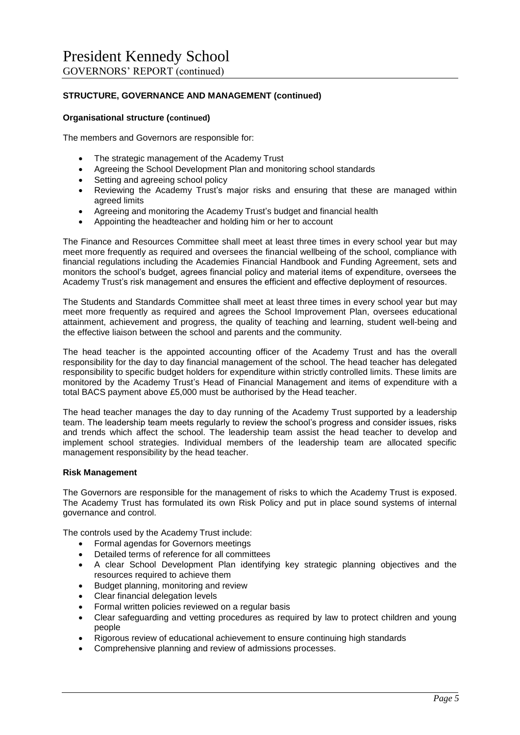#### **STRUCTURE, GOVERNANCE AND MANAGEMENT (continued)**

#### **Organisational structure (continued)**

The members and Governors are responsible for:

- The strategic management of the Academy Trust
- Agreeing the School Development Plan and monitoring school standards
- Setting and agreeing school policy
- Reviewing the Academy Trust's major risks and ensuring that these are managed within agreed limits
- Agreeing and monitoring the Academy Trust's budget and financial health
- Appointing the headteacher and holding him or her to account

The Finance and Resources Committee shall meet at least three times in every school year but may meet more frequently as required and oversees the financial wellbeing of the school, compliance with financial regulations including the Academies Financial Handbook and Funding Agreement, sets and monitors the school's budget, agrees financial policy and material items of expenditure, oversees the Academy Trust's risk management and ensures the efficient and effective deployment of resources.

The Students and Standards Committee shall meet at least three times in every school year but may meet more frequently as required and agrees the School Improvement Plan, oversees educational attainment, achievement and progress, the quality of teaching and learning, student well-being and the effective liaison between the school and parents and the community.

The head teacher is the appointed accounting officer of the Academy Trust and has the overall responsibility for the day to day financial management of the school. The head teacher has delegated responsibility to specific budget holders for expenditure within strictly controlled limits. These limits are monitored by the Academy Trust's Head of Financial Management and items of expenditure with a total BACS payment above £5,000 must be authorised by the Head teacher.

The head teacher manages the day to day running of the Academy Trust supported by a leadership team. The leadership team meets regularly to review the school's progress and consider issues, risks and trends which affect the school. The leadership team assist the head teacher to develop and implement school strategies. Individual members of the leadership team are allocated specific management responsibility by the head teacher.

#### **Risk Management**

The Governors are responsible for the management of risks to which the Academy Trust is exposed. The Academy Trust has formulated its own Risk Policy and put in place sound systems of internal governance and control.

The controls used by the Academy Trust include:

- Formal agendas for Governors meetings
- Detailed terms of reference for all committees
- A clear School Development Plan identifying key strategic planning objectives and the resources required to achieve them
- Budget planning, monitoring and review
- Clear financial delegation levels
- Formal written policies reviewed on a regular basis
- Clear safeguarding and vetting procedures as required by law to protect children and young people
- Rigorous review of educational achievement to ensure continuing high standards
- Comprehensive planning and review of admissions processes.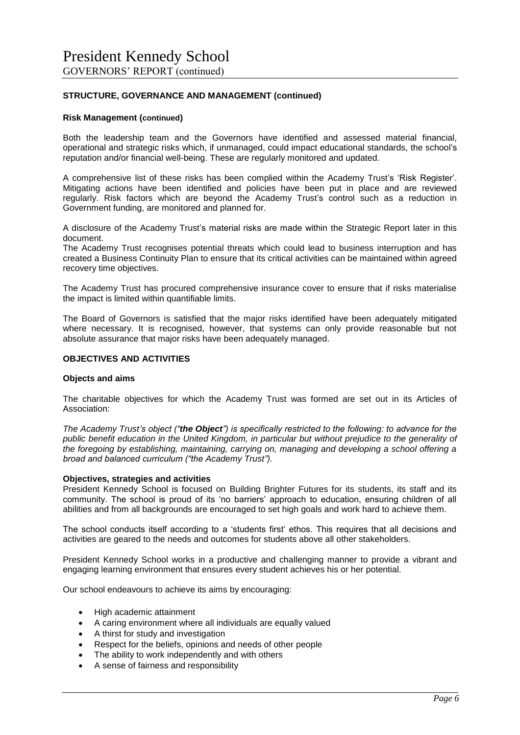#### **STRUCTURE, GOVERNANCE AND MANAGEMENT (continued)**

#### **Risk Management (continued)**

Both the leadership team and the Governors have identified and assessed material financial, operational and strategic risks which, if unmanaged, could impact educational standards, the school's reputation and/or financial well-being. These are regularly monitored and updated.

A comprehensive list of these risks has been complied within the Academy Trust's 'Risk Register'. Mitigating actions have been identified and policies have been put in place and are reviewed regularly. Risk factors which are beyond the Academy Trust's control such as a reduction in Government funding, are monitored and planned for.

A disclosure of the Academy Trust's material risks are made within the Strategic Report later in this document.

The Academy Trust recognises potential threats which could lead to business interruption and has created a Business Continuity Plan to ensure that its critical activities can be maintained within agreed recovery time objectives.

The Academy Trust has procured comprehensive insurance cover to ensure that if risks materialise the impact is limited within quantifiable limits.

The Board of Governors is satisfied that the major risks identified have been adequately mitigated where necessary. It is recognised, however, that systems can only provide reasonable but not absolute assurance that major risks have been adequately managed.

#### **OBJECTIVES AND ACTIVITIES**

#### **Objects and aims**

The charitable objectives for which the Academy Trust was formed are set out in its Articles of Association:

*The Academy Trust's object ("the Object") is specifically restricted to the following: to advance for the public benefit education in the United Kingdom, in particular but without prejudice to the generality of the foregoing by establishing, maintaining, carrying on, managing and developing a school offering a broad and balanced curriculum ("the Academy Trust").*

#### **Objectives, strategies and activities**

President Kennedy School is focused on Building Brighter Futures for its students, its staff and its community. The school is proud of its 'no barriers' approach to education, ensuring children of all abilities and from all backgrounds are encouraged to set high goals and work hard to achieve them.

The school conducts itself according to a 'students first' ethos. This requires that all decisions and activities are geared to the needs and outcomes for students above all other stakeholders.

President Kennedy School works in a productive and challenging manner to provide a vibrant and engaging learning environment that ensures every student achieves his or her potential.

Our school endeavours to achieve its aims by encouraging:

- High academic attainment
- A caring environment where all individuals are equally valued
- A thirst for study and investigation
- Respect for the beliefs, opinions and needs of other people
- The ability to work independently and with others
- A sense of fairness and responsibility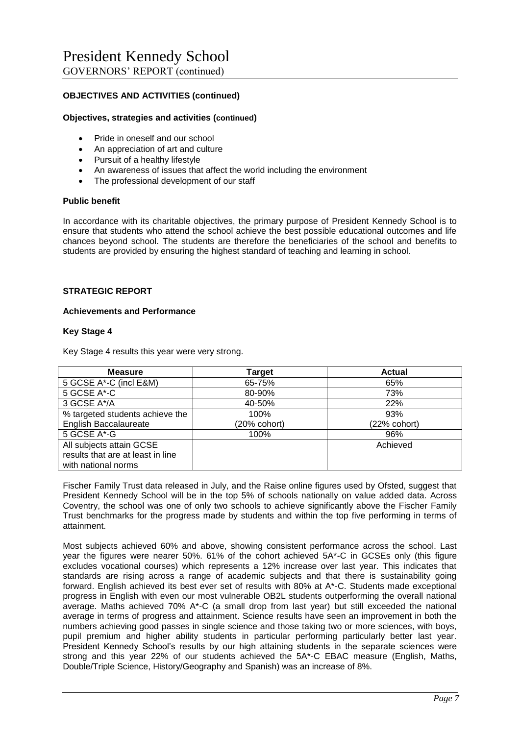#### **OBJECTIVES AND ACTIVITIES (continued)**

#### **Objectives, strategies and activities (continued)**

- Pride in oneself and our school
- An appreciation of art and culture
- Pursuit of a healthy lifestyle
- An awareness of issues that affect the world including the environment
- The professional development of our staff

#### **Public benefit**

In accordance with its charitable objectives, the primary purpose of President Kennedy School is to ensure that students who attend the school achieve the best possible educational outcomes and life chances beyond school. The students are therefore the beneficiaries of the school and benefits to students are provided by ensuring the highest standard of teaching and learning in school.

#### **STRATEGIC REPORT**

#### **Achievements and Performance**

#### **Key Stage 4**

Key Stage 4 results this year were very strong.

| <b>Measure</b>                    | <b>Target</b> | <b>Actual</b> |
|-----------------------------------|---------------|---------------|
| 5 GCSE A*-C (incl E&M)            | 65-75%        | 65%           |
| 5 GCSE A*-C                       | 80-90%        | 73%           |
| 3 GCSE A*/A                       | 40-50%        | 22%           |
| % targeted students achieve the   | 100%          | 93%           |
| <b>English Baccalaureate</b>      | (20% cohort)  | (22% cohort)  |
| 5 GCSE A*-G                       | 100%          | 96%           |
| All subjects attain GCSE          |               | Achieved      |
| results that are at least in line |               |               |
| with national norms               |               |               |

Fischer Family Trust data released in July, and the Raise online figures used by Ofsted, suggest that President Kennedy School will be in the top 5% of schools nationally on value added data. Across Coventry, the school was one of only two schools to achieve significantly above the Fischer Family Trust benchmarks for the progress made by students and within the top five performing in terms of attainment.

Most subjects achieved 60% and above, showing consistent performance across the school. Last year the figures were nearer 50%. 61% of the cohort achieved 5A\*-C in GCSEs only (this figure excludes vocational courses) which represents a 12% increase over last year. This indicates that standards are rising across a range of academic subjects and that there is sustainability going forward. English achieved its best ever set of results with 80% at A\*-C. Students made exceptional progress in English with even our most vulnerable OB2L students outperforming the overall national average. Maths achieved 70% A\*-C (a small drop from last year) but still exceeded the national average in terms of progress and attainment. Science results have seen an improvement in both the numbers achieving good passes in single science and those taking two or more sciences, with boys, pupil premium and higher ability students in particular performing particularly better last year. President Kennedy School's results by our high attaining students in the separate sciences were strong and this year 22% of our students achieved the 5A\*-C EBAC measure (English, Maths, Double/Triple Science, History/Geography and Spanish) was an increase of 8%.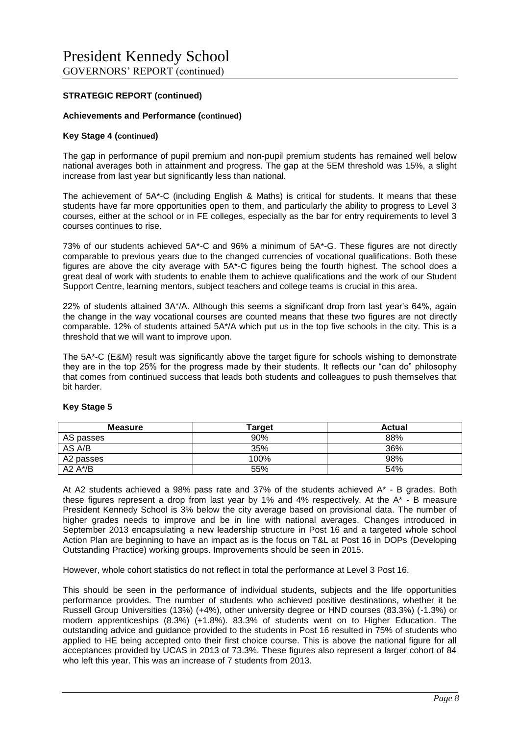#### **Achievements and Performance (continued)**

#### **Key Stage 4 (continued)**

The gap in performance of pupil premium and non-pupil premium students has remained well below national averages both in attainment and progress. The gap at the 5EM threshold was 15%, a slight increase from last year but significantly less than national.

The achievement of 5A\*-C (including English & Maths) is critical for students. It means that these students have far more opportunities open to them, and particularly the ability to progress to Level 3 courses, either at the school or in FE colleges, especially as the bar for entry requirements to level 3 courses continues to rise.

73% of our students achieved 5A\*-C and 96% a minimum of 5A\*-G. These figures are not directly comparable to previous years due to the changed currencies of vocational qualifications. Both these figures are above the city average with 5A\*-C figures being the fourth highest. The school does a great deal of work with students to enable them to achieve qualifications and the work of our Student Support Centre, learning mentors, subject teachers and college teams is crucial in this area.

22% of students attained 3A\*/A. Although this seems a significant drop from last year's 64%, again the change in the way vocational courses are counted means that these two figures are not directly comparable. 12% of students attained 5A\*/A which put us in the top five schools in the city. This is a threshold that we will want to improve upon.

The 5A\*-C (E&M) result was significantly above the target figure for schools wishing to demonstrate they are in the top 25% for the progress made by their students. It reflects our "can do" philosophy that comes from continued success that leads both students and colleagues to push themselves that bit harder.

| <b>Measure</b> | <b>Target</b> | Actual |
|----------------|---------------|--------|
| AS passes      | 90%           | 88%    |
| AS A/B         | 35%           | 36%    |
| A2 passes      | 100%          | 98%    |
| A2 $A^*/B$     | 55%           | 54%    |

#### **Key Stage 5**

At A2 students achieved a 98% pass rate and 37% of the students achieved  $A^*$  - B grades. Both these figures represent a drop from last year by 1% and 4% respectively. At the A\* - B measure President Kennedy School is 3% below the city average based on provisional data. The number of higher grades needs to improve and be in line with national averages. Changes introduced in September 2013 encapsulating a new leadership structure in Post 16 and a targeted whole school Action Plan are beginning to have an impact as is the focus on T&L at Post 16 in DOPs (Developing Outstanding Practice) working groups. Improvements should be seen in 2015.

However, whole cohort statistics do not reflect in total the performance at Level 3 Post 16.

This should be seen in the performance of individual students, subjects and the life opportunities performance provides. The number of students who achieved positive destinations, whether it be Russell Group Universities (13%) (+4%), other university degree or HND courses (83.3%) (-1.3%) or modern apprenticeships (8.3%) (+1.8%). 83.3% of students went on to Higher Education. The outstanding advice and guidance provided to the students in Post 16 resulted in 75% of students who applied to HE being accepted onto their first choice course. This is above the national figure for all acceptances provided by UCAS in 2013 of 73.3%. These figures also represent a larger cohort of 84 who left this year. This was an increase of 7 students from 2013.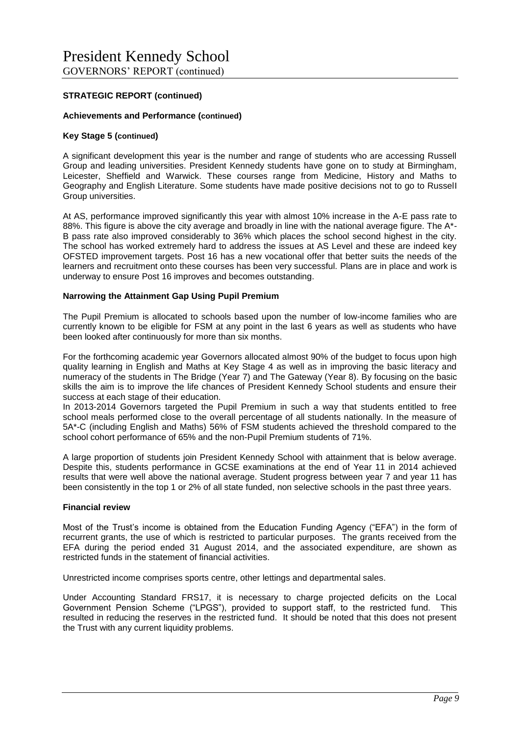#### **Achievements and Performance (continued)**

#### **Key Stage 5 (continued)**

A significant development this year is the number and range of students who are accessing Russell Group and leading universities. President Kennedy students have gone on to study at Birmingham, Leicester, Sheffield and Warwick. These courses range from Medicine, History and Maths to Geography and English Literature. Some students have made positive decisions not to go to RusselI Group universities.

At AS, performance improved significantly this year with almost 10% increase in the A-E pass rate to 88%. This figure is above the city average and broadly in line with the national average figure. The A\*- B pass rate also improved considerably to 36% which places the school second highest in the city. The school has worked extremely hard to address the issues at AS Level and these are indeed key OFSTED improvement targets. Post 16 has a new vocational offer that better suits the needs of the learners and recruitment onto these courses has been very successful. Plans are in place and work is underway to ensure Post 16 improves and becomes outstanding.

#### **Narrowing the Attainment Gap Using Pupil Premium**

The Pupil Premium is allocated to schools based upon the number of low-income families who are currently known to be eligible for FSM at any point in the last 6 years as well as students who have been looked after continuously for more than six months.

For the forthcoming academic year Governors allocated almost 90% of the budget to focus upon high quality learning in English and Maths at Key Stage 4 as well as in improving the basic literacy and numeracy of the students in The Bridge (Year 7) and The Gateway (Year 8). By focusing on the basic skills the aim is to improve the life chances of President Kennedy School students and ensure their success at each stage of their education.

In 2013-2014 Governors targeted the Pupil Premium in such a way that students entitled to free school meals performed close to the overall percentage of all students nationally. In the measure of 5A\*-C (including English and Maths) 56% of FSM students achieved the threshold compared to the school cohort performance of 65% and the non-Pupil Premium students of 71%.

A large proportion of students join President Kennedy School with attainment that is below average. Despite this, students performance in GCSE examinations at the end of Year 11 in 2014 achieved results that were well above the national average. Student progress between year 7 and year 11 has been consistently in the top 1 or 2% of all state funded, non selective schools in the past three years.

#### **Financial review**

Most of the Trust's income is obtained from the Education Funding Agency ("EFA") in the form of recurrent grants, the use of which is restricted to particular purposes. The grants received from the EFA during the period ended 31 August 2014, and the associated expenditure, are shown as restricted funds in the statement of financial activities.

Unrestricted income comprises sports centre, other lettings and departmental sales.

Under Accounting Standard FRS17, it is necessary to charge projected deficits on the Local Government Pension Scheme ("LPGS"), provided to support staff, to the restricted fund. This resulted in reducing the reserves in the restricted fund. It should be noted that this does not present the Trust with any current liquidity problems.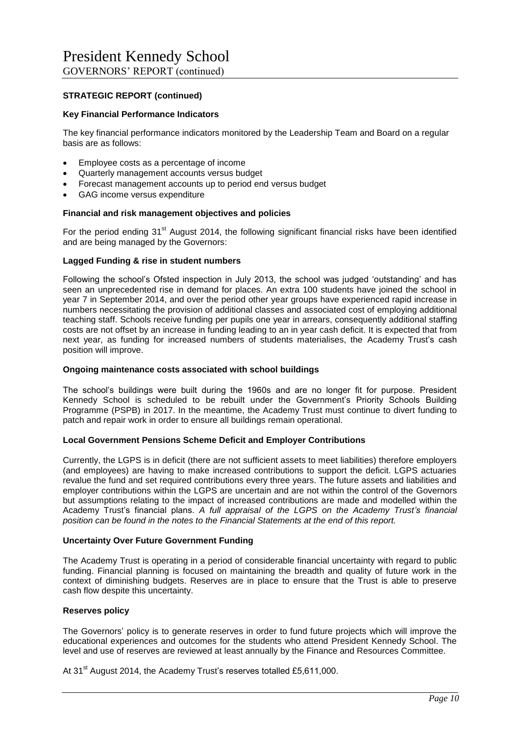#### **Key Financial Performance Indicators**

The key financial performance indicators monitored by the Leadership Team and Board on a regular basis are as follows:

- Employee costs as a percentage of income
- Quarterly management accounts versus budget
- Forecast management accounts up to period end versus budget
- GAG income versus expenditure

#### **Financial and risk management objectives and policies**

For the period ending 31<sup>st</sup> August 2014, the following significant financial risks have been identified and are being managed by the Governors:

#### **Lagged Funding & rise in student numbers**

Following the school's Ofsted inspection in July 2013, the school was judged 'outstanding' and has seen an unprecedented rise in demand for places. An extra 100 students have joined the school in year 7 in September 2014, and over the period other year groups have experienced rapid increase in numbers necessitating the provision of additional classes and associated cost of employing additional teaching staff. Schools receive funding per pupils one year in arrears, consequently additional staffing costs are not offset by an increase in funding leading to an in year cash deficit. It is expected that from next year, as funding for increased numbers of students materialises, the Academy Trust's cash position will improve.

#### **Ongoing maintenance costs associated with school buildings**

The school's buildings were built during the 1960s and are no longer fit for purpose. President Kennedy School is scheduled to be rebuilt under the Government's Priority Schools Building Programme (PSPB) in 2017. In the meantime, the Academy Trust must continue to divert funding to patch and repair work in order to ensure all buildings remain operational.

#### **Local Government Pensions Scheme Deficit and Employer Contributions**

Currently, the LGPS is in deficit (there are not sufficient assets to meet liabilities) therefore employers (and employees) are having to make increased contributions to support the deficit. LGPS actuaries revalue the fund and set required contributions every three years. The future assets and liabilities and employer contributions within the LGPS are uncertain and are not within the control of the Governors but assumptions relating to the impact of increased contributions are made and modelled within the Academy Trust's financial plans. *A full appraisal of the LGPS on the Academy Trust's financial position can be found in the notes to the Financial Statements at the end of this report.*

#### **Uncertainty Over Future Government Funding**

The Academy Trust is operating in a period of considerable financial uncertainty with regard to public funding. Financial planning is focused on maintaining the breadth and quality of future work in the context of diminishing budgets. Reserves are in place to ensure that the Trust is able to preserve cash flow despite this uncertainty.

#### **Reserves policy**

The Governors' policy is to generate reserves in order to fund future projects which will improve the educational experiences and outcomes for the students who attend President Kennedy School. The level and use of reserves are reviewed at least annually by the Finance and Resources Committee.

At 31<sup>st</sup> August 2014, the Academy Trust's reserves totalled £5,611,000.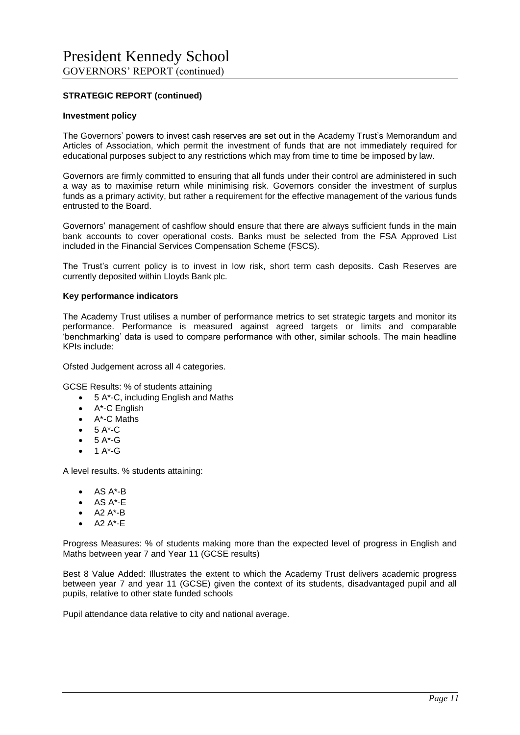#### **Investment policy**

The Governors' powers to invest cash reserves are set out in the Academy Trust's Memorandum and Articles of Association, which permit the investment of funds that are not immediately required for educational purposes subject to any restrictions which may from time to time be imposed by law.

Governors are firmly committed to ensuring that all funds under their control are administered in such a way as to maximise return while minimising risk. Governors consider the investment of surplus funds as a primary activity, but rather a requirement for the effective management of the various funds entrusted to the Board.

Governors' management of cashflow should ensure that there are always sufficient funds in the main bank accounts to cover operational costs. Banks must be selected from the FSA Approved List included in the Financial Services Compensation Scheme (FSCS).

The Trust's current policy is to invest in low risk, short term cash deposits. Cash Reserves are currently deposited within Lloyds Bank plc.

#### **Key performance indicators**

The Academy Trust utilises a number of performance metrics to set strategic targets and monitor its performance. Performance is measured against agreed targets or limits and comparable 'benchmarking' data is used to compare performance with other, similar schools. The main headline KPIs include:

Ofsted Judgement across all 4 categories.

GCSE Results: % of students attaining

- 5 A\*-C, including English and Maths
- A\*-C English
- A\*-C Maths
- 5 A\*-C
- $-5A^*G$
- 1  $A^*$ -G

A level results. % students attaining:

- $\bullet$  AS  $A^*$ -B
- AS A\*-E
- A2 A\*-B
- A2 A\*-E

Progress Measures: % of students making more than the expected level of progress in English and Maths between year 7 and Year 11 (GCSE results)

Best 8 Value Added: Illustrates the extent to which the Academy Trust delivers academic progress between year 7 and year 11 (GCSE) given the context of its students, disadvantaged pupil and all pupils, relative to other state funded schools

Pupil attendance data relative to city and national average.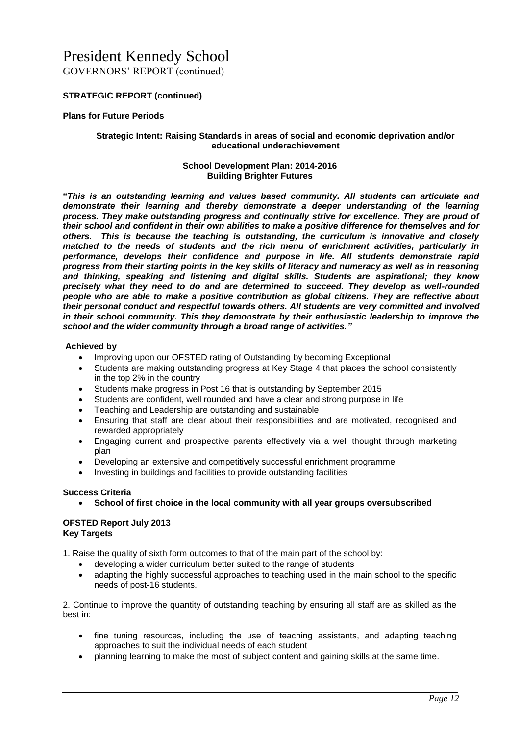#### **Plans for Future Periods**

#### **Strategic Intent: Raising Standards in areas of social and economic deprivation and/or educational underachievement**

#### **School Development Plan: 2014-2016 Building Brighter Futures**

**"***This is an outstanding learning and values based community. All students can articulate and demonstrate their learning and thereby demonstrate a deeper understanding of the learning process. They make outstanding progress and continually strive for excellence. They are proud of their school and confident in their own abilities to make a positive difference for themselves and for others. This is because the teaching is outstanding, the curriculum is innovative and closely matched to the needs of students and the rich menu of enrichment activities, particularly in performance, develops their confidence and purpose in life. All students demonstrate rapid progress from their starting points in the key skills of literacy and numeracy as well as in reasoning and thinking, speaking and listening and digital skills. Students are aspirational; they know precisely what they need to do and are determined to succeed. They develop as well-rounded people who are able to make a positive contribution as global citizens. They are reflective about their personal conduct and respectful towards others. All students are very committed and involved in their school community. This they demonstrate by their enthusiastic leadership to improve the school and the wider community through a broad range of activities."*

#### **Achieved by**

- Improving upon our OFSTED rating of Outstanding by becoming Exceptional
- Students are making outstanding progress at Key Stage 4 that places the school consistently in the top 2% in the country
- Students make progress in Post 16 that is outstanding by September 2015
- Students are confident, well rounded and have a clear and strong purpose in life
- Teaching and Leadership are outstanding and sustainable
- Ensuring that staff are clear about their responsibilities and are motivated, recognised and rewarded appropriately
- Engaging current and prospective parents effectively via a well thought through marketing plan
- Developing an extensive and competitively successful enrichment programme
- Investing in buildings and facilities to provide outstanding facilities

#### **Success Criteria**

**School of first choice in the local community with all year groups oversubscribed**

#### **OFSTED Report July 2013 Key Targets**

- 1. Raise the quality of sixth form outcomes to that of the main part of the school by:
	- developing a wider curriculum better suited to the range of students
	- adapting the highly successful approaches to teaching used in the main school to the specific needs of post-16 students.

2. Continue to improve the quantity of outstanding teaching by ensuring all staff are as skilled as the best in:

- fine tuning resources, including the use of teaching assistants, and adapting teaching approaches to suit the individual needs of each student
- planning learning to make the most of subject content and gaining skills at the same time.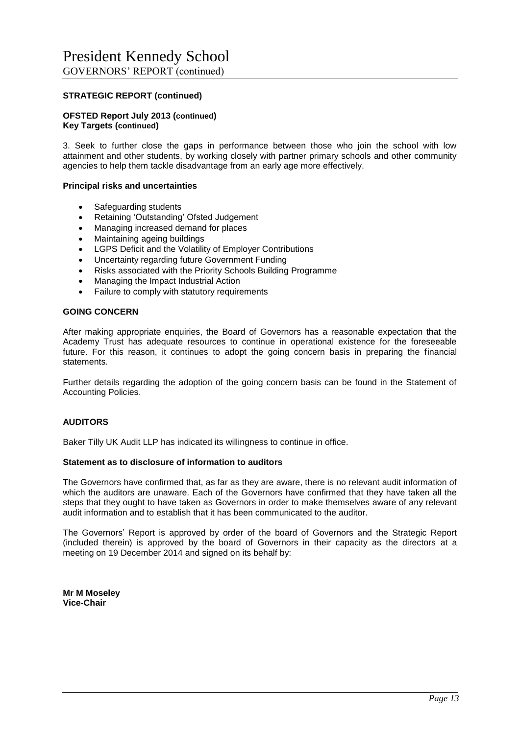#### **OFSTED Report July 2013 (continued) Key Targets (continued)**

3. Seek to further close the gaps in performance between those who join the school with low attainment and other students, by working closely with partner primary schools and other community agencies to help them tackle disadvantage from an early age more effectively.

#### **Principal risks and uncertainties**

- Safeguarding students
- Retaining 'Outstanding' Ofsted Judgement
- Managing increased demand for places
- Maintaining ageing buildings
- LGPS Deficit and the Volatility of Employer Contributions
- Uncertainty regarding future Government Funding
- Risks associated with the Priority Schools Building Programme
- Managing the Impact Industrial Action
- Failure to comply with statutory requirements

#### **GOING CONCERN**

After making appropriate enquiries, the Board of Governors has a reasonable expectation that the Academy Trust has adequate resources to continue in operational existence for the foreseeable future. For this reason, it continues to adopt the going concern basis in preparing the financial statements.

Further details regarding the adoption of the going concern basis can be found in the Statement of Accounting Policies.

#### **AUDITORS**

Baker Tilly UK Audit LLP has indicated its willingness to continue in office.

#### **Statement as to disclosure of information to auditors**

The Governors have confirmed that, as far as they are aware, there is no relevant audit information of which the auditors are unaware. Each of the Governors have confirmed that they have taken all the steps that they ought to have taken as Governors in order to make themselves aware of any relevant audit information and to establish that it has been communicated to the auditor.

The Governors' Report is approved by order of the board of Governors and the Strategic Report (included therein) is approved by the board of Governors in their capacity as the directors at a meeting on 19 December 2014 and signed on its behalf by:

**Mr M Moseley Vice-Chair**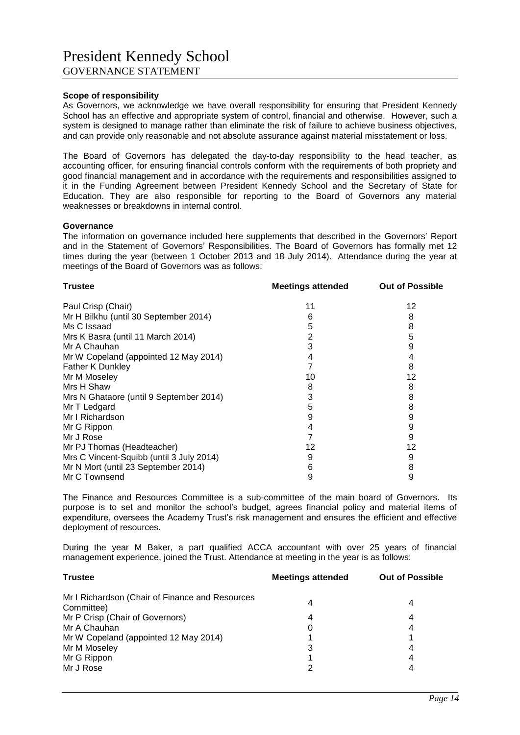#### **Scope of responsibility**

As Governors, we acknowledge we have overall responsibility for ensuring that President Kennedy School has an effective and appropriate system of control, financial and otherwise. However, such a system is designed to manage rather than eliminate the risk of failure to achieve business objectives, and can provide only reasonable and not absolute assurance against material misstatement or loss.

The Board of Governors has delegated the day-to-day responsibility to the head teacher, as accounting officer, for ensuring financial controls conform with the requirements of both propriety and good financial management and in accordance with the requirements and responsibilities assigned to it in the Funding Agreement between President Kennedy School and the Secretary of State for Education. They are also responsible for reporting to the Board of Governors any material weaknesses or breakdowns in internal control.

#### **Governance**

The information on governance included here supplements that described in the Governors' Report and in the Statement of Governors' Responsibilities. The Board of Governors has formally met 12 times during the year (between 1 October 2013 and 18 July 2014). Attendance during the year at meetings of the Board of Governors was as follows:

| <b>Trustee</b>                           | <b>Meetings attended</b> | <b>Out of Possible</b> |
|------------------------------------------|--------------------------|------------------------|
| Paul Crisp (Chair)                       | 11                       | 12                     |
| Mr H Bilkhu (until 30 September 2014)    | 6                        | 8                      |
| Ms C Issaad                              | 5                        | 8                      |
| Mrs K Basra (until 11 March 2014)        | 2                        | 5                      |
| Mr A Chauhan                             | 3                        | 9                      |
| Mr W Copeland (appointed 12 May 2014)    | 4                        | 4                      |
| Father K Dunkley                         |                          | 8                      |
| Mr M Moseley                             | 10                       | 12                     |
| Mrs H Shaw                               | 8                        | 8                      |
| Mrs N Ghataore (until 9 September 2014)  | 3                        | 8                      |
| Mr T Ledgard                             | 5                        | 8                      |
| Mr I Richardson                          | 9                        | 9                      |
| Mr G Rippon                              | 4                        | 9                      |
| Mr J Rose                                |                          | 9                      |
| Mr PJ Thomas (Headteacher)               | 12                       | 12                     |
| Mrs C Vincent-Squibb (until 3 July 2014) | 9                        | 9                      |
| Mr N Mort (until 23 September 2014)      | 6                        | 8                      |
| Mr C Townsend                            | 9                        | 9                      |
|                                          |                          |                        |

The Finance and Resources Committee is a sub-committee of the main board of Governors. Its purpose is to set and monitor the school's budget, agrees financial policy and material items of expenditure, oversees the Academy Trust's risk management and ensures the efficient and effective deployment of resources.

During the year M Baker, a part qualified ACCA accountant with over 25 years of financial management experience, joined the Trust. Attendance at meeting in the year is as follows:

| <b>Trustee</b>                                                | <b>Meetings attended</b> | <b>Out of Possible</b> |
|---------------------------------------------------------------|--------------------------|------------------------|
| Mr I Richardson (Chair of Finance and Resources<br>Committee) | 4                        | 4                      |
| Mr P Crisp (Chair of Governors)                               | 4                        | 4                      |
| Mr A Chauhan                                                  | 0                        | 4                      |
| Mr W Copeland (appointed 12 May 2014)                         |                          |                        |
| Mr M Moseley                                                  | 3                        | 4                      |
| Mr G Rippon                                                   |                          | 4                      |
| Mr J Rose                                                     | າ                        |                        |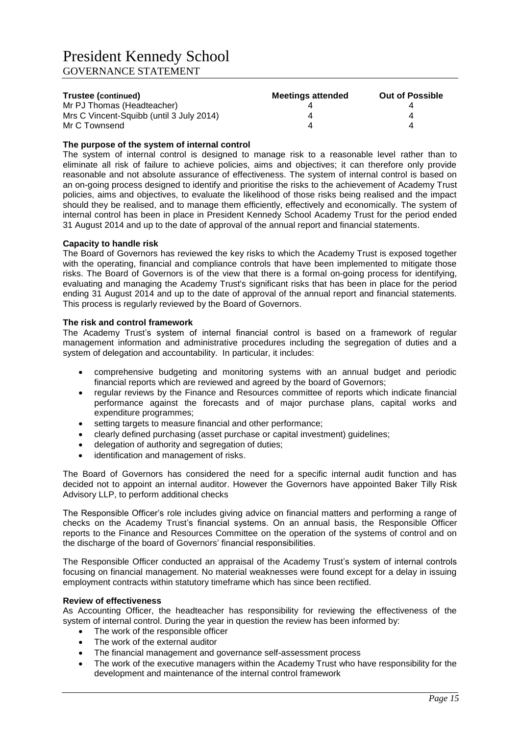| Trustee (continued)                      | Meetings attended | <b>Out of Possible</b> |
|------------------------------------------|-------------------|------------------------|
| Mr PJ Thomas (Headteacher)               |                   |                        |
| Mrs C Vincent-Squibb (until 3 July 2014) |                   |                        |
| Mr C Townsend                            |                   |                        |

#### **The purpose of the system of internal control**

The system of internal control is designed to manage risk to a reasonable level rather than to eliminate all risk of failure to achieve policies, aims and objectives; it can therefore only provide reasonable and not absolute assurance of effectiveness. The system of internal control is based on an on-going process designed to identify and prioritise the risks to the achievement of Academy Trust policies, aims and objectives, to evaluate the likelihood of those risks being realised and the impact should they be realised, and to manage them efficiently, effectively and economically. The system of internal control has been in place in President Kennedy School Academy Trust for the period ended 31 August 2014 and up to the date of approval of the annual report and financial statements.

#### **Capacity to handle risk**

The Board of Governors has reviewed the key risks to which the Academy Trust is exposed together with the operating, financial and compliance controls that have been implemented to mitigate those risks. The Board of Governors is of the view that there is a formal on-going process for identifying, evaluating and managing the Academy Trust's significant risks that has been in place for the period ending 31 August 2014 and up to the date of approval of the annual report and financial statements. This process is regularly reviewed by the Board of Governors.

#### **The risk and control framework**

The Academy Trust's system of internal financial control is based on a framework of regular management information and administrative procedures including the segregation of duties and a system of delegation and accountability. In particular, it includes:

- comprehensive budgeting and monitoring systems with an annual budget and periodic financial reports which are reviewed and agreed by the board of Governors;
- regular reviews by the Finance and Resources committee of reports which indicate financial performance against the forecasts and of major purchase plans, capital works and expenditure programmes;
- setting targets to measure financial and other performance;
- clearly defined purchasing (asset purchase or capital investment) guidelines;
- delegation of authority and segregation of duties;
- identification and management of risks.

The Board of Governors has considered the need for a specific internal audit function and has decided not to appoint an internal auditor. However the Governors have appointed Baker Tilly Risk Advisory LLP, to perform additional checks

The Responsible Officer's role includes giving advice on financial matters and performing a range of checks on the Academy Trust's financial systems. On an annual basis, the Responsible Officer reports to the Finance and Resources Committee on the operation of the systems of control and on the discharge of the board of Governors' financial responsibilities.

The Responsible Officer conducted an appraisal of the Academy Trust's system of internal controls focusing on financial management. No material weaknesses were found except for a delay in issuing employment contracts within statutory timeframe which has since been rectified.

#### **Review of effectiveness**

As Accounting Officer, the headteacher has responsibility for reviewing the effectiveness of the system of internal control. During the year in question the review has been informed by:

- The work of the responsible officer
- The work of the external auditor
- The financial management and governance self-assessment process
- The work of the executive managers within the Academy Trust who have responsibility for the development and maintenance of the internal control framework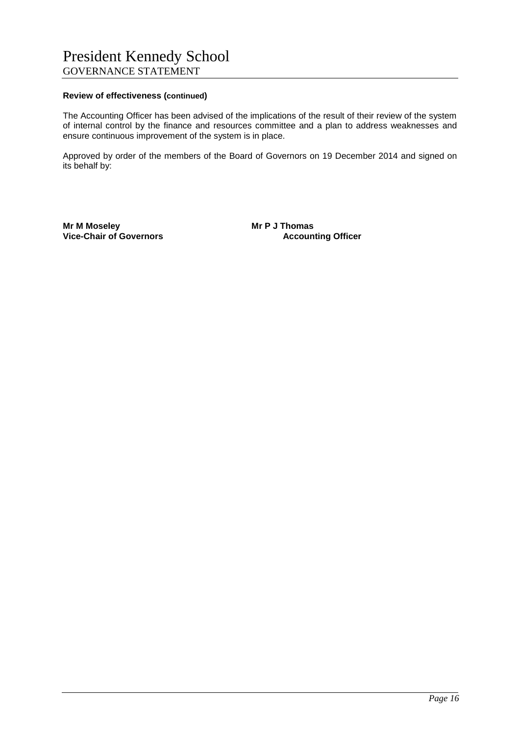#### **Review of effectiveness (continued)**

The Accounting Officer has been advised of the implications of the result of their review of the system of internal control by the finance and resources committee and a plan to address weaknesses and ensure continuous improvement of the system is in place.

Approved by order of the members of the Board of Governors on 19 December 2014 and signed on its behalf by:

**Mr M Moseley Mr P J Thomas Vice-Chair of Governors**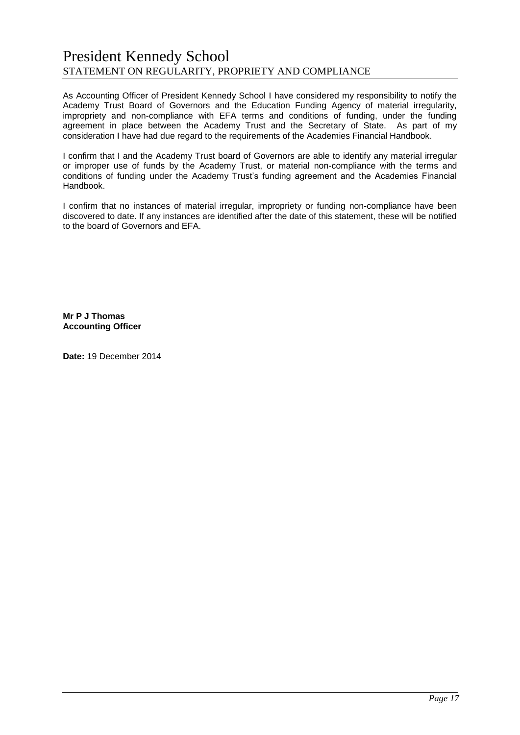## President Kennedy School STATEMENT ON REGULARITY, PROPRIETY AND COMPLIANCE

As Accounting Officer of President Kennedy School I have considered my responsibility to notify the Academy Trust Board of Governors and the Education Funding Agency of material irregularity, impropriety and non-compliance with EFA terms and conditions of funding, under the funding agreement in place between the Academy Trust and the Secretary of State. As part of my consideration I have had due regard to the requirements of the Academies Financial Handbook.

I confirm that I and the Academy Trust board of Governors are able to identify any material irregular or improper use of funds by the Academy Trust, or material non-compliance with the terms and conditions of funding under the Academy Trust's funding agreement and the Academies Financial Handbook.

I confirm that no instances of material irregular, impropriety or funding non-compliance have been discovered to date. If any instances are identified after the date of this statement, these will be notified to the board of Governors and EFA.

**Mr P J Thomas Accounting Officer**

**Date:** 19 December 2014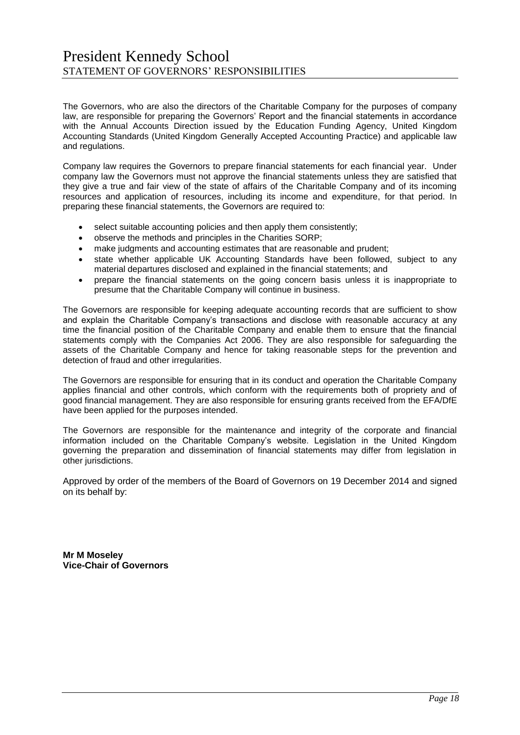The Governors, who are also the directors of the Charitable Company for the purposes of company law, are responsible for preparing the Governors' Report and the financial statements in accordance with the Annual Accounts Direction issued by the Education Funding Agency, United Kingdom Accounting Standards (United Kingdom Generally Accepted Accounting Practice) and applicable law and regulations.

Company law requires the Governors to prepare financial statements for each financial year. Under company law the Governors must not approve the financial statements unless they are satisfied that they give a true and fair view of the state of affairs of the Charitable Company and of its incoming resources and application of resources, including its income and expenditure, for that period. In preparing these financial statements, the Governors are required to:

- select suitable accounting policies and then apply them consistently;
- observe the methods and principles in the Charities SORP;
- make judgments and accounting estimates that are reasonable and prudent;
- state whether applicable UK Accounting Standards have been followed, subject to any material departures disclosed and explained in the financial statements; and
- prepare the financial statements on the going concern basis unless it is inappropriate to presume that the Charitable Company will continue in business.

The Governors are responsible for keeping adequate accounting records that are sufficient to show and explain the Charitable Company's transactions and disclose with reasonable accuracy at any time the financial position of the Charitable Company and enable them to ensure that the financial statements comply with the Companies Act 2006. They are also responsible for safeguarding the assets of the Charitable Company and hence for taking reasonable steps for the prevention and detection of fraud and other irregularities.

The Governors are responsible for ensuring that in its conduct and operation the Charitable Company applies financial and other controls, which conform with the requirements both of propriety and of good financial management. They are also responsible for ensuring grants received from the EFA/DfE have been applied for the purposes intended.

The Governors are responsible for the maintenance and integrity of the corporate and financial information included on the Charitable Company's website. Legislation in the United Kingdom governing the preparation and dissemination of financial statements may differ from legislation in other jurisdictions.

Approved by order of the members of the Board of Governors on 19 December 2014 and signed on its behalf by:

**Mr M Moseley Vice-Chair of Governors**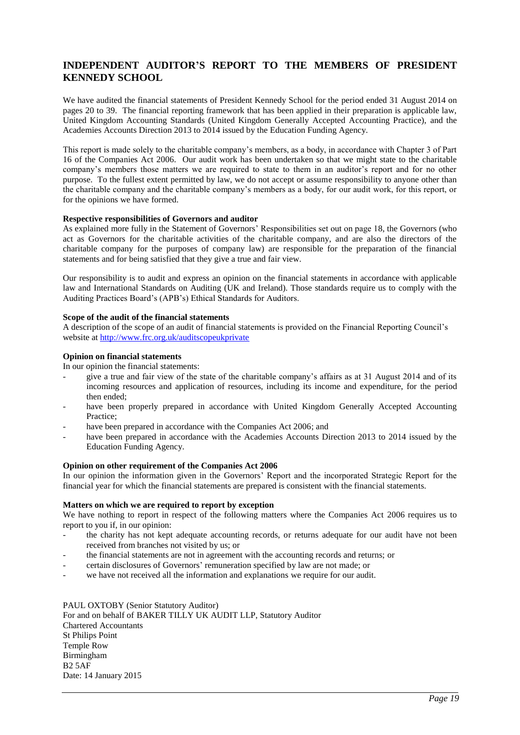## **INDEPENDENT AUDITOR'S REPORT TO THE MEMBERS OF PRESIDENT KENNEDY SCHOOL**

We have audited the financial statements of President Kennedy School for the period ended 31 August 2014 on pages 20 to 39. The financial reporting framework that has been applied in their preparation is applicable law, United Kingdom Accounting Standards (United Kingdom Generally Accepted Accounting Practice), and the Academies Accounts Direction 2013 to 2014 issued by the Education Funding Agency.

This report is made solely to the charitable company's members, as a body, in accordance with Chapter 3 of Part 16 of the Companies Act 2006. Our audit work has been undertaken so that we might state to the charitable company's members those matters we are required to state to them in an auditor's report and for no other purpose. To the fullest extent permitted by law, we do not accept or assume responsibility to anyone other than the charitable company and the charitable company's members as a body, for our audit work, for this report, or for the opinions we have formed.

#### **Respective responsibilities of Governors and auditor**

As explained more fully in the Statement of Governors' Responsibilities set out on page 18, the Governors (who act as Governors for the charitable activities of the charitable company, and are also the directors of the charitable company for the purposes of company law) are responsible for the preparation of the financial statements and for being satisfied that they give a true and fair view.

Our responsibility is to audit and express an opinion on the financial statements in accordance with applicable law and International Standards on Auditing (UK and Ireland). Those standards require us to comply with the Auditing Practices Board's (APB's) Ethical Standards for Auditors.

#### **Scope of the audit of the financial statements**

A description of the scope of an audit of financial statements is provided on the Financial Reporting Council's website at<http://www.frc.org.uk/auditscopeukprivate>

#### **Opinion on financial statements**

In our opinion the financial statements:

- give a true and fair view of the state of the charitable company's affairs as at 31 August 2014 and of its incoming resources and application of resources, including its income and expenditure, for the period then ended;
- have been properly prepared in accordance with United Kingdom Generally Accepted Accounting Practice;
- have been prepared in accordance with the Companies Act 2006; and
- have been prepared in accordance with the Academies Accounts Direction 2013 to 2014 issued by the Education Funding Agency.

#### **Opinion on other requirement of the Companies Act 2006**

In our opinion the information given in the Governors' Report and the incorporated Strategic Report for the financial year for which the financial statements are prepared is consistent with the financial statements.

#### **Matters on which we are required to report by exception**

We have nothing to report in respect of the following matters where the Companies Act 2006 requires us to report to you if, in our opinion:

- the charity has not kept adequate accounting records, or returns adequate for our audit have not been received from branches not visited by us; or
- the financial statements are not in agreement with the accounting records and returns; or
- certain disclosures of Governors' remuneration specified by law are not made; or
- we have not received all the information and explanations we require for our audit.

#### PAUL OXTOBY (Senior Statutory Auditor)

For and on behalf of BAKER TILLY UK AUDIT LLP, Statutory Auditor Chartered Accountants St Philips Point Temple Row Birmingham  $B25AF$ Date: 14 January 2015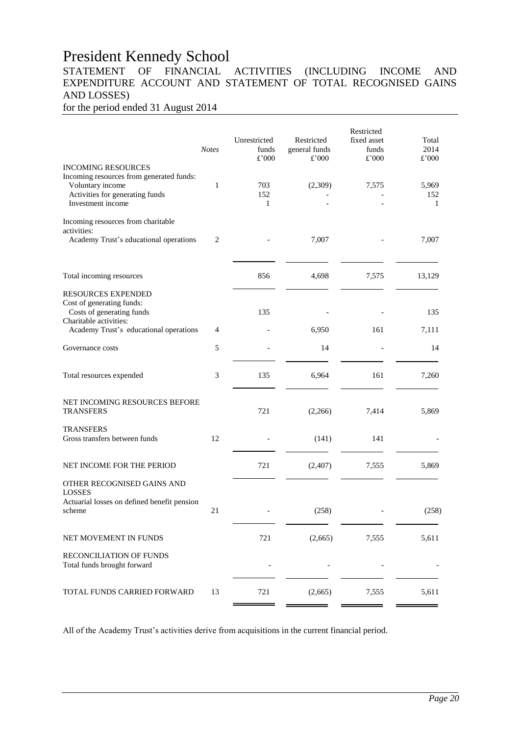# President Kennedy School<br>STATEMENT OF FINANCIAL

## FINANCIAL ACTIVITIES (INCLUDING INCOME AND EXPENDITURE ACCOUNT AND STATEMENT OF TOTAL RECOGNISED GAINS AND LOSSES)

for the period ended 31 August 2014

| <b>Notes</b>                                      | Unrestricted<br>funds<br>£'000 | Restricted<br>general funds<br>£'000 | Restricted<br>fixed asset<br>funds<br>£'000 | Total<br>2014<br>£'000       |
|---------------------------------------------------|--------------------------------|--------------------------------------|---------------------------------------------|------------------------------|
| $\mathbf{1}$                                      | 703<br>152<br>1                | (2,309)                              | 7,575                                       | 5,969<br>152<br>$\mathbf{1}$ |
|                                                   |                                |                                      |                                             | 7,007                        |
|                                                   |                                |                                      |                                             |                              |
|                                                   | 856                            | 4,698                                | 7,575                                       | 13,129                       |
|                                                   | 135                            |                                      |                                             | 135                          |
| Academy Trust's educational operations<br>4       |                                | 6,950                                | 161                                         | 7,111                        |
| 5                                                 |                                | 14                                   |                                             | 14                           |
| 3                                                 | 135                            | 6,964                                | 161                                         | 7,260                        |
| NET INCOMING RESOURCES BEFORE                     | 721                            | (2,266)                              | 7,414                                       | 5,869                        |
| 12                                                |                                | (141)                                | 141                                         |                              |
|                                                   | 721                            | (2,407)                              | 7,555                                       | 5,869                        |
| Actuarial losses on defined benefit pension<br>21 |                                | (258)                                |                                             | (258)                        |
|                                                   | 721                            | (2,665)                              | 7,555                                       | 5,611                        |
|                                                   |                                |                                      |                                             |                              |
| 13                                                | 721                            | (2,665)                              | 7,555                                       | 5,611                        |
|                                                   | $\overline{2}$                 |                                      | 7,007                                       |                              |

All of the Academy Trust's activities derive from acquisitions in the current financial period.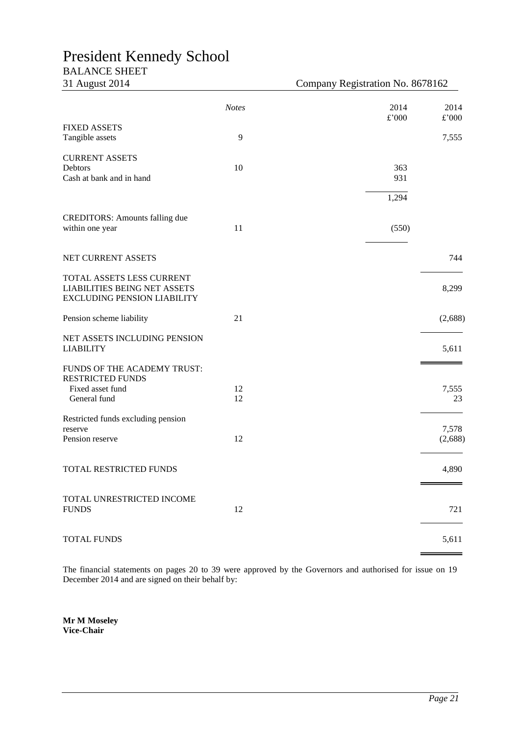## President Kennedy School

## BALANCE SHEET

31 August 2014 Company Registration No. 8678162

|                                                                                                        | <b>Notes</b> | 2014<br>$\pounds$ '000 | 2014<br>£'000    |
|--------------------------------------------------------------------------------------------------------|--------------|------------------------|------------------|
| <b>FIXED ASSETS</b><br>Tangible assets                                                                 | 9            |                        | 7,555            |
| <b>CURRENT ASSETS</b><br>Debtors<br>Cash at bank and in hand                                           | 10           | 363<br>931             |                  |
|                                                                                                        |              | 1,294                  |                  |
| <b>CREDITORS:</b> Amounts falling due<br>within one year                                               | 11           | (550)                  |                  |
| NET CURRENT ASSETS                                                                                     |              |                        | 744              |
| TOTAL ASSETS LESS CURRENT<br><b>LIABILITIES BEING NET ASSETS</b><br><b>EXCLUDING PENSION LIABILITY</b> |              |                        | 8,299            |
| Pension scheme liability                                                                               | 21           |                        | (2,688)          |
| NET ASSETS INCLUDING PENSION<br><b>LIABILITY</b>                                                       |              |                        | 5,611            |
| FUNDS OF THE ACADEMY TRUST:<br><b>RESTRICTED FUNDS</b><br>Fixed asset fund<br>General fund             | 12<br>12     |                        | 7,555<br>23      |
| Restricted funds excluding pension<br>reserve<br>Pension reserve                                       | 12           |                        | 7,578<br>(2,688) |
| TOTAL RESTRICTED FUNDS                                                                                 |              |                        | 4,890            |
| TOTAL UNRESTRICTED INCOME<br><b>FUNDS</b>                                                              | 12           |                        | 721              |
| TOTAL FUNDS                                                                                            |              |                        | 5,611            |

The financial statements on pages 20 to 39 were approved by the Governors and authorised for issue on 19 December 2014 and are signed on their behalf by:

**Mr M Moseley Vice-Chair**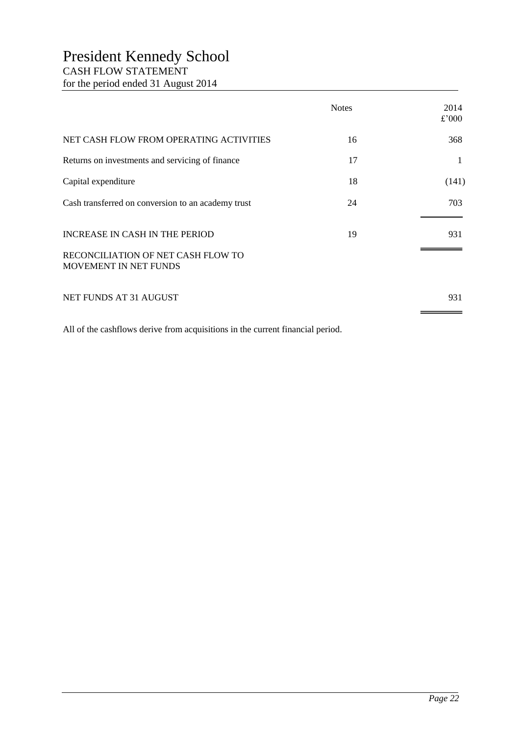## President Kennedy School CASH FLOW STATEMENT for the period ended 31 August 2014

|                                                             | <b>Notes</b> | 2014<br>£'000 |
|-------------------------------------------------------------|--------------|---------------|
| NET CASH FLOW FROM OPERATING ACTIVITIES                     | 16           | 368           |
| Returns on investments and servicing of finance             | 17           | 1             |
| Capital expenditure                                         | 18           | (141)         |
| Cash transferred on conversion to an academy trust          | 24           | 703           |
| INCREASE IN CASH IN THE PERIOD                              | 19           | 931           |
| RECONCILIATION OF NET CASH FLOW TO<br>MOVEMENT IN NET FUNDS |              |               |
| NET FUNDS AT 31 AUGUST                                      |              | 931           |

All of the cashflows derive from acquisitions in the current financial period.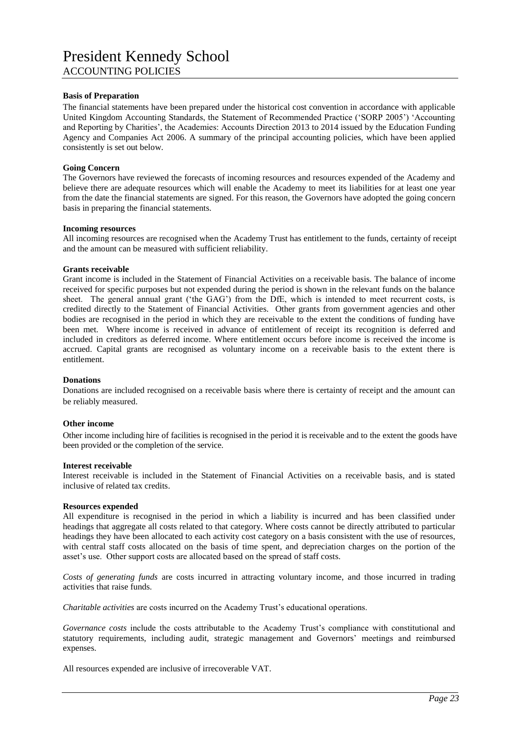## President Kennedy School ACCOUNTING POLICIES

#### **Basis of Preparation**

The financial statements have been prepared under the historical cost convention in accordance with applicable United Kingdom Accounting Standards, the Statement of Recommended Practice ('SORP 2005') 'Accounting and Reporting by Charities', the Academies: Accounts Direction 2013 to 2014 issued by the Education Funding Agency and Companies Act 2006. A summary of the principal accounting policies, which have been applied consistently is set out below.

#### **Going Concern**

The Governors have reviewed the forecasts of incoming resources and resources expended of the Academy and believe there are adequate resources which will enable the Academy to meet its liabilities for at least one year from the date the financial statements are signed. For this reason, the Governors have adopted the going concern basis in preparing the financial statements.

#### **Incoming resources**

All incoming resources are recognised when the Academy Trust has entitlement to the funds, certainty of receipt and the amount can be measured with sufficient reliability.

#### **Grants receivable**

Grant income is included in the Statement of Financial Activities on a receivable basis. The balance of income received for specific purposes but not expended during the period is shown in the relevant funds on the balance sheet. The general annual grant ('the GAG') from the DfE, which is intended to meet recurrent costs, is credited directly to the Statement of Financial Activities. Other grants from government agencies and other bodies are recognised in the period in which they are receivable to the extent the conditions of funding have been met. Where income is received in advance of entitlement of receipt its recognition is deferred and included in creditors as deferred income. Where entitlement occurs before income is received the income is accrued. Capital grants are recognised as voluntary income on a receivable basis to the extent there is entitlement.

#### **Donations**

Donations are included recognised on a receivable basis where there is certainty of receipt and the amount can be reliably measured.

#### **Other income**

Other income including hire of facilities is recognised in the period it is receivable and to the extent the goods have been provided or the completion of the service.

#### **Interest receivable**

Interest receivable is included in the Statement of Financial Activities on a receivable basis, and is stated inclusive of related tax credits.

#### **Resources expended**

All expenditure is recognised in the period in which a liability is incurred and has been classified under headings that aggregate all costs related to that category. Where costs cannot be directly attributed to particular headings they have been allocated to each activity cost category on a basis consistent with the use of resources, with central staff costs allocated on the basis of time spent, and depreciation charges on the portion of the asset's use. Other support costs are allocated based on the spread of staff costs.

*Costs of generating funds* are costs incurred in attracting voluntary income, and those incurred in trading activities that raise funds.

*Charitable activities* are costs incurred on the Academy Trust's educational operations.

*Governance costs* include the costs attributable to the Academy Trust's compliance with constitutional and statutory requirements, including audit, strategic management and Governors' meetings and reimbursed expenses.

All resources expended are inclusive of irrecoverable VAT.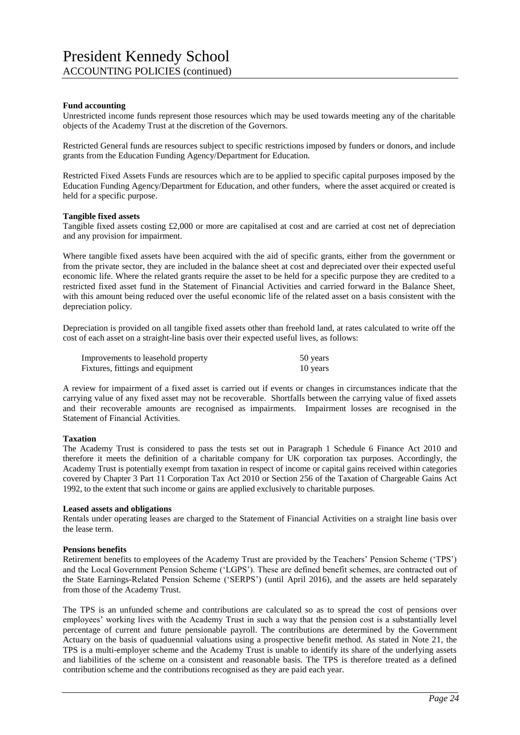#### **Fund accounting**

Unrestricted income funds represent those resources which may be used towards meeting any of the charitable objects of the Academy Trust at the discretion of the Governors.

Restricted General funds are resources subject to specific restrictions imposed by funders or donors, and include grants from the Education Funding Agency/Department for Education.

Restricted Fixed Assets Funds are resources which are to be applied to specific capital purposes imposed by the Education Funding Agency/Department for Education, and other funders, where the asset acquired or created is held for a specific purpose.

#### **Tangible fixed assets**

Tangible fixed assets costing £2,000 or more are capitalised at cost and are carried at cost net of depreciation and any provision for impairment.

Where tangible fixed assets have been acquired with the aid of specific grants, either from the government or from the private sector, they are included in the balance sheet at cost and depreciated over their expected useful economic life. Where the related grants require the asset to be held for a specific purpose they are credited to a restricted fixed asset fund in the Statement of Financial Activities and carried forward in the Balance Sheet, with this amount being reduced over the useful economic life of the related asset on a basis consistent with the depreciation policy.

Depreciation is provided on all tangible fixed assets other than freehold land, at rates calculated to write off the cost of each asset on a straight-line basis over their expected useful lives, as follows:

| Improvements to leasehold property | 50 years |
|------------------------------------|----------|
| Fixtures, fittings and equipment   | 10 years |

A review for impairment of a fixed asset is carried out if events or changes in circumstances indicate that the carrying value of any fixed asset may not be recoverable. Shortfalls between the carrying value of fixed assets and their recoverable amounts are recognised as impairments. Impairment losses are recognised in the Statement of Financial Activities.

#### **Taxation**

The Academy Trust is considered to pass the tests set out in Paragraph 1 Schedule 6 Finance Act 2010 and therefore it meets the definition of a charitable company for UK corporation tax purposes. Accordingly, the Academy Trust is potentially exempt from taxation in respect of income or capital gains received within categories covered by Chapter 3 Part 11 Corporation Tax Act 2010 or Section 256 of the Taxation of Chargeable Gains Act 1992, to the extent that such income or gains are applied exclusively to charitable purposes.

#### **Leased assets and obligations**

Rentals under operating leases are charged to the Statement of Financial Activities on a straight line basis over the lease term.

#### **Pensions benefits**

Retirement benefits to employees of the Academy Trust are provided by the Teachers' Pension Scheme ('TPS') and the Local Government Pension Scheme ('LGPS'). These are defined benefit schemes, are contracted out of the State Earnings-Related Pension Scheme ('SERPS') (until April 2016), and the assets are held separately from those of the Academy Trust.

The TPS is an unfunded scheme and contributions are calculated so as to spread the cost of pensions over employees' working lives with the Academy Trust in such a way that the pension cost is a substantially level percentage of current and future pensionable payroll. The contributions are determined by the Government Actuary on the basis of quaduennial valuations using a prospective benefit method. As stated in Note 21, the TPS is a multi-employer scheme and the Academy Trust is unable to identify its share of the underlying assets and liabilities of the scheme on a consistent and reasonable basis. The TPS is therefore treated as a defined contribution scheme and the contributions recognised as they are paid each year.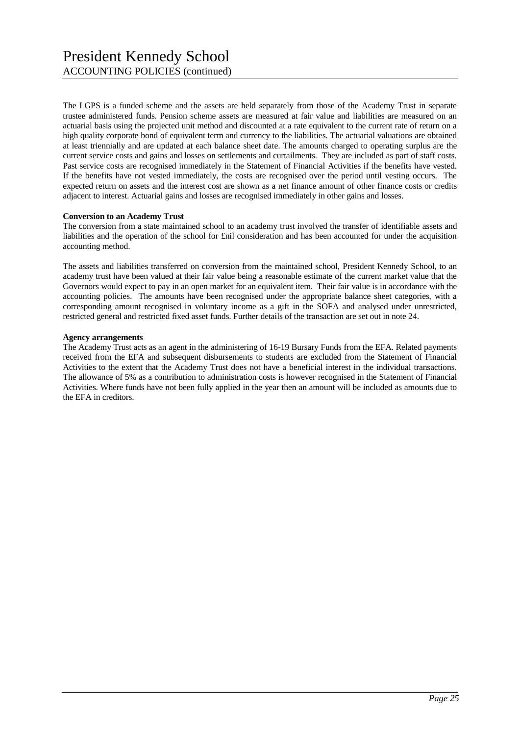The LGPS is a funded scheme and the assets are held separately from those of the Academy Trust in separate trustee administered funds. Pension scheme assets are measured at fair value and liabilities are measured on an actuarial basis using the projected unit method and discounted at a rate equivalent to the current rate of return on a high quality corporate bond of equivalent term and currency to the liabilities. The actuarial valuations are obtained at least triennially and are updated at each balance sheet date. The amounts charged to operating surplus are the current service costs and gains and losses on settlements and curtailments. They are included as part of staff costs. Past service costs are recognised immediately in the Statement of Financial Activities if the benefits have vested. If the benefits have not vested immediately, the costs are recognised over the period until vesting occurs. The expected return on assets and the interest cost are shown as a net finance amount of other finance costs or credits adjacent to interest. Actuarial gains and losses are recognised immediately in other gains and losses.

#### **Conversion to an Academy Trust**

The conversion from a state maintained school to an academy trust involved the transfer of identifiable assets and liabilities and the operation of the school for £nil consideration and has been accounted for under the acquisition accounting method.

The assets and liabilities transferred on conversion from the maintained school, President Kennedy School, to an academy trust have been valued at their fair value being a reasonable estimate of the current market value that the Governors would expect to pay in an open market for an equivalent item. Their fair value is in accordance with the accounting policies. The amounts have been recognised under the appropriate balance sheet categories, with a corresponding amount recognised in voluntary income as a gift in the SOFA and analysed under unrestricted, restricted general and restricted fixed asset funds. Further details of the transaction are set out in note 24.

#### **Agency arrangements**

The Academy Trust acts as an agent in the administering of 16-19 Bursary Funds from the EFA. Related payments received from the EFA and subsequent disbursements to students are excluded from the Statement of Financial Activities to the extent that the Academy Trust does not have a beneficial interest in the individual transactions. The allowance of 5% as a contribution to administration costs is however recognised in the Statement of Financial Activities. Where funds have not been fully applied in the year then an amount will be included as amounts due to the EFA in creditors.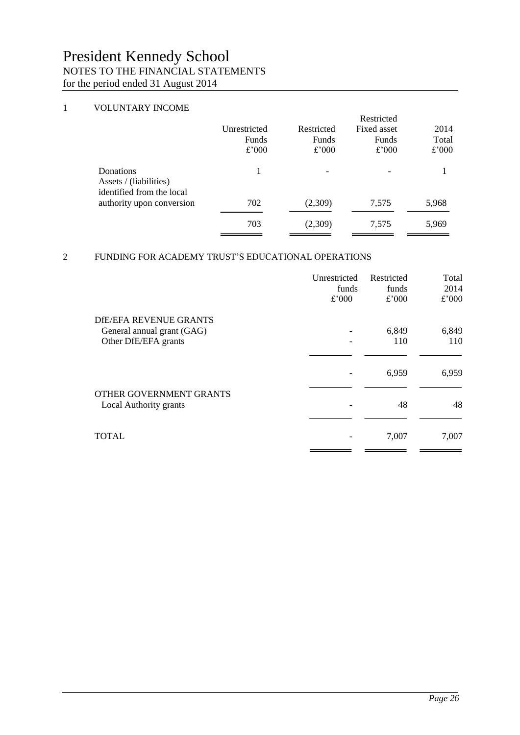### 1 VOLUNTARY INCOME

|                                                                  | Unrestricted<br>Funds<br>£'000 | Restricted<br>Funds<br>£'000 | Restricted<br>Fixed asset<br>Funds<br>£'000 | 2014<br>Total<br>£'000 |
|------------------------------------------------------------------|--------------------------------|------------------------------|---------------------------------------------|------------------------|
| Donations<br>Assets / (liabilities)<br>identified from the local |                                | $\overline{\phantom{a}}$     |                                             |                        |
| authority upon conversion                                        | 702                            | (2,309)                      | 7,575                                       | 5,968                  |
|                                                                  | 703                            | (2,309)                      | 7,575                                       | 5,969                  |

## 2 FUNDING FOR ACADEMY TRUST'S EDUCATIONAL OPERATIONS

|                                                    | Unrestricted<br>funds | Restricted<br>funds | Total<br>2014 |
|----------------------------------------------------|-----------------------|---------------------|---------------|
|                                                    | £'000                 | £'000               | £'000         |
| DIE/EFA REVENUE GRANTS                             |                       |                     |               |
| General annual grant (GAG)<br>Other DfE/EFA grants |                       | 6,849<br>110        | 6,849<br>110  |
|                                                    |                       |                     |               |
|                                                    |                       | 6,959               | 6,959         |
| OTHER GOVERNMENT GRANTS                            |                       |                     |               |
| Local Authority grants                             |                       | 48                  | 48            |
| <b>TOTAL</b>                                       |                       | 7,007               | 7,007         |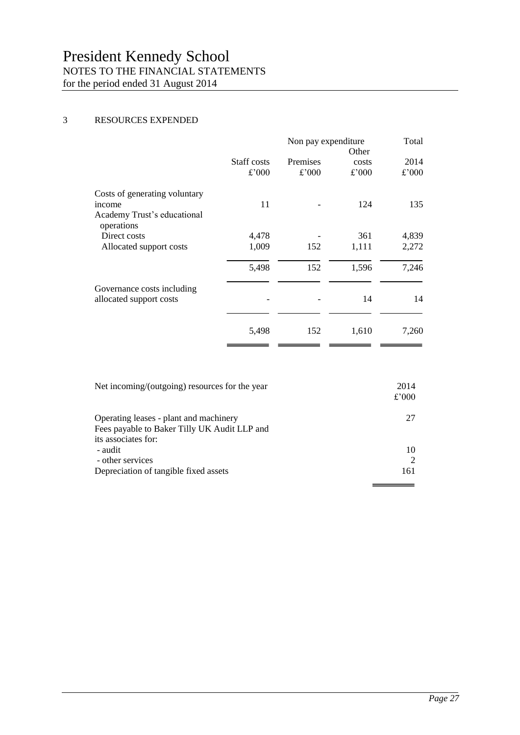#### 3 RESOURCES EXPENDED

|                                                                                      | Non pay expenditure<br>Other |                          |                | Total         |
|--------------------------------------------------------------------------------------|------------------------------|--------------------------|----------------|---------------|
|                                                                                      | Staff costs<br>£'000         | <b>Premises</b><br>£'000 | costs<br>£'000 | 2014<br>£'000 |
| Costs of generating voluntary<br>income<br>Academy Trust's educational<br>operations | 11                           |                          | 124            | 135           |
| Direct costs                                                                         | 4,478                        |                          | 361            | 4,839         |
| Allocated support costs                                                              | 1,009                        | 152                      | 1,111          | 2,272         |
|                                                                                      | 5,498                        | 152                      | 1,596          | 7,246         |
| Governance costs including<br>allocated support costs                                |                              |                          | 14             | 14            |
|                                                                                      | 5,498                        | 152                      | 1,610          | 7,260         |

| Net incoming/(outgoing) resources for the year                                                                | 2014<br>£'000 |
|---------------------------------------------------------------------------------------------------------------|---------------|
| Operating leases - plant and machinery<br>Fees payable to Baker Tilly UK Audit LLP and<br>its associates for: | 27            |
| - audit                                                                                                       | 10            |
| - other services                                                                                              |               |
| Depreciation of tangible fixed assets                                                                         | 161           |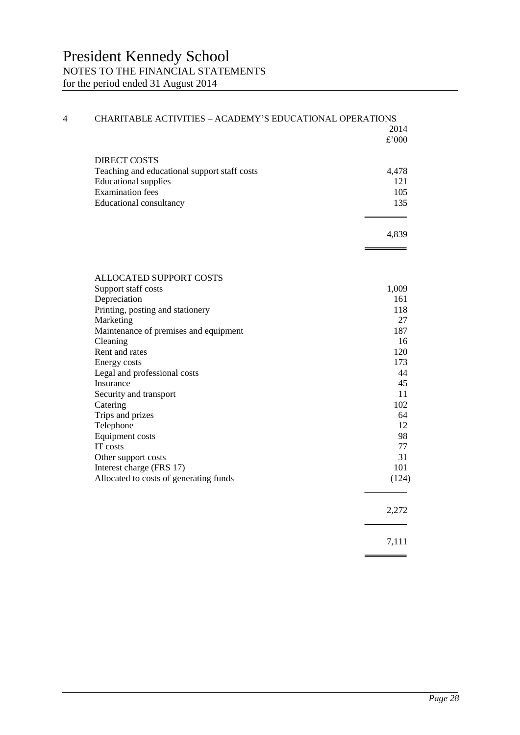| 4 | CHARITABLE ACTIVITIES - ACADEMY'S EDUCATIONAL OPERATIONS |       |
|---|----------------------------------------------------------|-------|
|   |                                                          | 2014  |
|   |                                                          | £'000 |
|   |                                                          |       |
|   | <b>DIRECT COSTS</b>                                      |       |
|   | Teaching and educational support staff costs             | 4,478 |
|   | <b>Educational supplies</b>                              | 121   |
|   | <b>Examination</b> fees                                  | 105   |
|   | <b>Educational consultancy</b>                           | 135   |
|   |                                                          |       |
|   |                                                          |       |
|   |                                                          | 4,839 |
|   |                                                          |       |
|   |                                                          |       |
|   | ALLOCATED SUPPORT COSTS                                  |       |
|   | Support staff costs                                      | 1,009 |
|   | Depreciation                                             | 161   |
|   | Printing, posting and stationery                         | 118   |
|   | Marketing                                                | 27    |
|   | Maintenance of premises and equipment                    | 187   |
|   | Cleaning                                                 | 16    |
|   | Rent and rates                                           | 120   |
|   | Energy costs                                             | 173   |
|   | Legal and professional costs                             | 44    |
|   | Insurance                                                | 45    |
|   | Security and transport                                   | 11    |
|   | Catering                                                 | 102   |
|   | Trips and prizes                                         | 64    |
|   | Telephone                                                | 12    |
|   | Equipment costs                                          | 98    |
|   | IT costs                                                 | 77    |
|   | Other support costs                                      | 31    |
|   | Interest charge (FRS 17)                                 | 101   |
|   | Allocated to costs of generating funds                   | (124) |
|   |                                                          |       |
|   |                                                          |       |
|   |                                                          | 2,272 |
|   |                                                          |       |
|   |                                                          | 7,111 |
|   |                                                          |       |
|   |                                                          |       |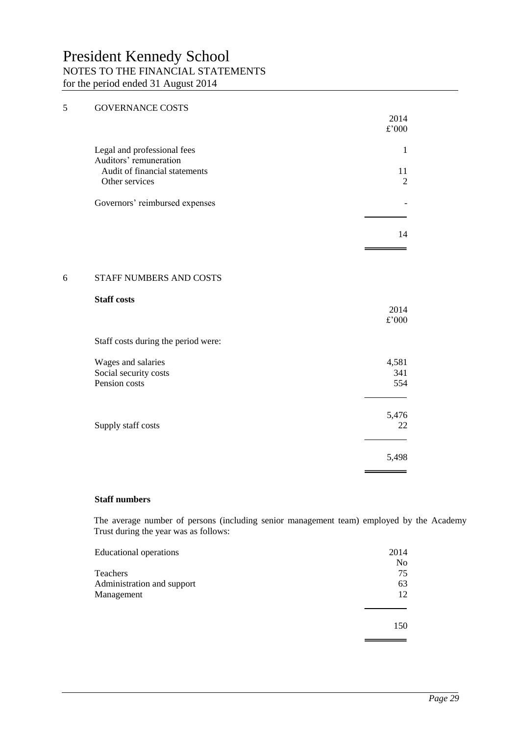| 5 | <b>GOVERNANCE COSTS</b>                                      | 2014<br>$\pounds$ '000 |
|---|--------------------------------------------------------------|------------------------|
|   | Legal and professional fees<br>Auditors' remuneration        | $\mathbf{1}$           |
|   | Audit of financial statements<br>Other services              | 11<br>$\overline{2}$   |
|   | Governors' reimbursed expenses                               |                        |
|   |                                                              | 14                     |
|   |                                                              |                        |
| 6 | STAFF NUMBERS AND COSTS                                      |                        |
|   | <b>Staff costs</b>                                           | 2014<br>£'000          |
|   | Staff costs during the period were:                          |                        |
|   | Wages and salaries<br>Social security costs<br>Pension costs | 4,581<br>341<br>554    |
|   | Supply staff costs                                           | 5,476<br>22            |
|   |                                                              | 5,498                  |

#### **Staff numbers**

The average number of persons (including senior management team) employed by the Academy Trust during the year was as follows:

| <b>Educational operations</b> | 2014           |
|-------------------------------|----------------|
|                               | N <sub>0</sub> |
| Teachers                      | 75             |
| Administration and support    | 63             |
| Management                    | 12             |
|                               | 150            |
|                               |                |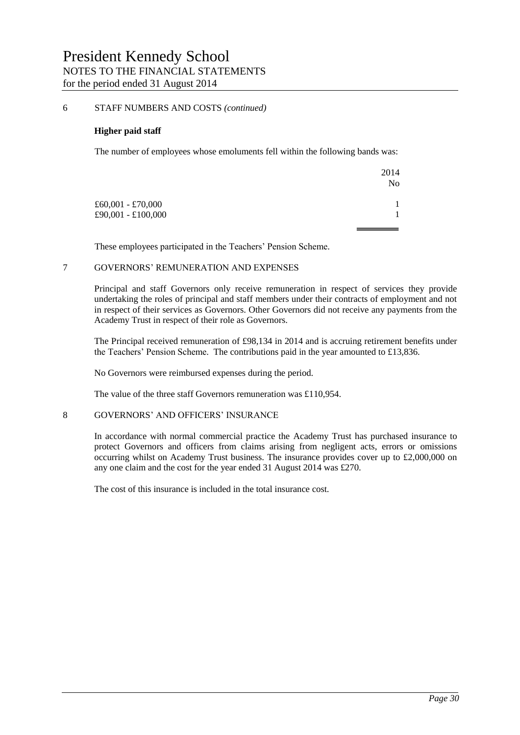#### 6 STAFF NUMBERS AND COSTS *(continued)*

#### **Higher paid staff**

The number of employees whose emoluments fell within the following bands was:

|                     | 2014           |
|---------------------|----------------|
|                     | N <sub>0</sub> |
| $£60,001 - £70,000$ |                |
| £90,001 - £100,000  |                |
|                     |                |

These employees participated in the Teachers' Pension Scheme.

#### 7 GOVERNORS' REMUNERATION AND EXPENSES

Principal and staff Governors only receive remuneration in respect of services they provide undertaking the roles of principal and staff members under their contracts of employment and not in respect of their services as Governors. Other Governors did not receive any payments from the Academy Trust in respect of their role as Governors.

The Principal received remuneration of £98,134 in 2014 and is accruing retirement benefits under the Teachers' Pension Scheme. The contributions paid in the year amounted to £13,836.

No Governors were reimbursed expenses during the period.

The value of the three staff Governors remuneration was £110,954.

#### 8 GOVERNORS' AND OFFICERS' INSURANCE

In accordance with normal commercial practice the Academy Trust has purchased insurance to protect Governors and officers from claims arising from negligent acts, errors or omissions occurring whilst on Academy Trust business. The insurance provides cover up to £2,000,000 on any one claim and the cost for the year ended 31 August 2014 was £270.

The cost of this insurance is included in the total insurance cost.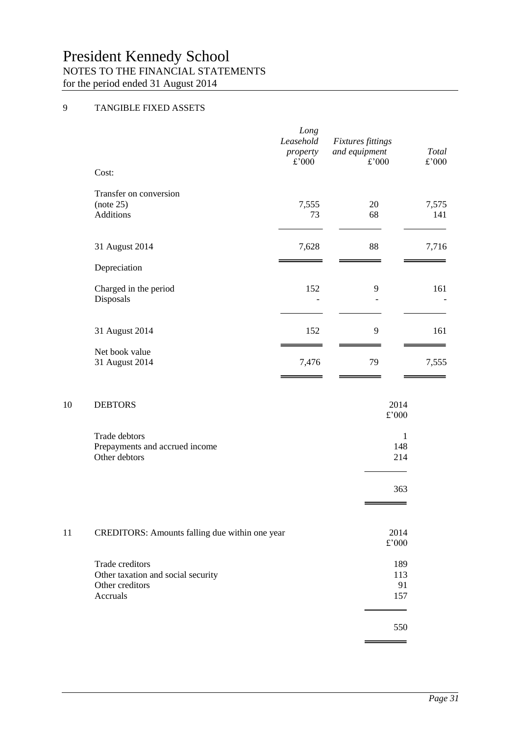## 9 TANGIBLE FIXED ASSETS

| Cost:                                                   | Long<br>Leasehold<br>property<br>£'000 | <b>Fixtures fittings</b><br>and equipment<br>£'000 | Total<br>£'000 |
|---------------------------------------------------------|----------------------------------------|----------------------------------------------------|----------------|
| Transfer on conversion<br>(note 25)<br><b>Additions</b> | 7,555<br>73                            | 20<br>68                                           | 7,575<br>141   |
| 31 August 2014<br>Depreciation                          | 7,628                                  | 88                                                 | 7,716          |
| Charged in the period<br>Disposals                      | 152                                    | 9                                                  | 161            |
| 31 August 2014                                          | 152                                    | 9                                                  | 161            |
| Net book value<br>31 August 2014                        | 7,476                                  | 79                                                 | 7,555          |

#### 10 DEBTORS 2014

|    |                                                | £'000 |
|----|------------------------------------------------|-------|
|    | Trade debtors                                  | 1     |
|    | Prepayments and accrued income                 | 148   |
|    | Other debtors                                  | 214   |
|    |                                                | 363   |
|    |                                                |       |
| 11 | CREDITORS: Amounts falling due within one year | 2014  |
|    |                                                | £'000 |
|    | Trade creditors                                | 189   |
|    | Other taxation and social security             | 113   |
|    | Other creditors                                | 91    |
|    | Accruals                                       | 157   |
|    |                                                | 550   |
|    |                                                |       |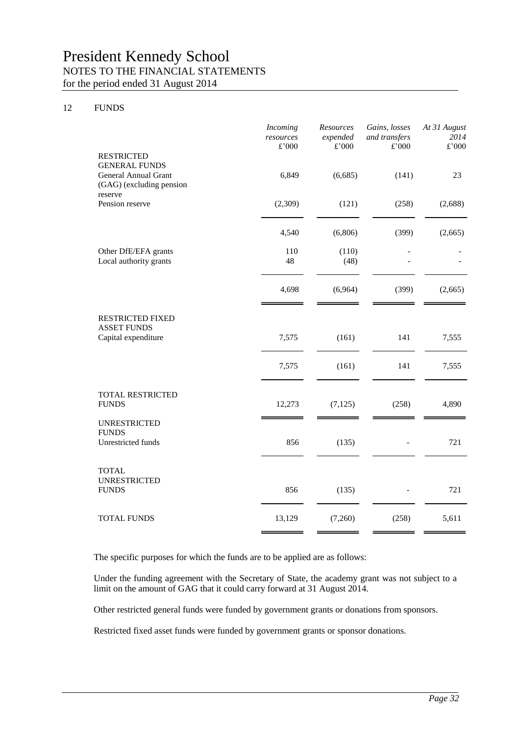#### 12 FUNDS

|                                                                                                          | Incoming<br>resources<br>£'000 | Resources<br>expended<br>£'000 | Gains, losses<br>and transfers<br>£'000 | At 31 August<br>2014<br>$\pounds$ '000 |
|----------------------------------------------------------------------------------------------------------|--------------------------------|--------------------------------|-----------------------------------------|----------------------------------------|
| <b>RESTRICTED</b><br><b>GENERAL FUNDS</b><br>General Annual Grant<br>(GAG) (excluding pension<br>reserve | 6,849                          | (6,685)                        | (141)                                   | 23                                     |
| Pension reserve                                                                                          | (2,309)                        | (121)                          | (258)                                   | (2,688)                                |
|                                                                                                          | 4,540                          | (6,806)                        | (399)                                   | (2,665)                                |
| Other DfE/EFA grants<br>Local authority grants                                                           | 110<br>48                      | (110)<br>(48)                  | ÷.                                      |                                        |
|                                                                                                          | 4,698                          | (6,964)                        | (399)                                   | (2,665)                                |
| <b>RESTRICTED FIXED</b><br><b>ASSET FUNDS</b><br>Capital expenditure                                     | 7,575                          | (161)                          | 141                                     | 7,555                                  |
|                                                                                                          | 7,575                          | (161)                          | 141                                     | 7,555                                  |
| TOTAL RESTRICTED<br><b>FUNDS</b>                                                                         | 12,273                         | (7, 125)                       | (258)                                   | 4,890                                  |
| <b>UNRESTRICTED</b><br><b>FUNDS</b><br>Unrestricted funds                                                | 856                            | (135)                          |                                         | 721                                    |
| <b>TOTAL</b><br><b>UNRESTRICTED</b><br><b>FUNDS</b>                                                      | 856                            | (135)                          |                                         | 721                                    |
| <b>TOTAL FUNDS</b>                                                                                       | 13,129                         | (7,260)                        | (258)                                   | 5,611                                  |

The specific purposes for which the funds are to be applied are as follows:

Under the funding agreement with the Secretary of State, the academy grant was not subject to a limit on the amount of GAG that it could carry forward at 31 August 2014.

Other restricted general funds were funded by government grants or donations from sponsors.

Restricted fixed asset funds were funded by government grants or sponsor donations.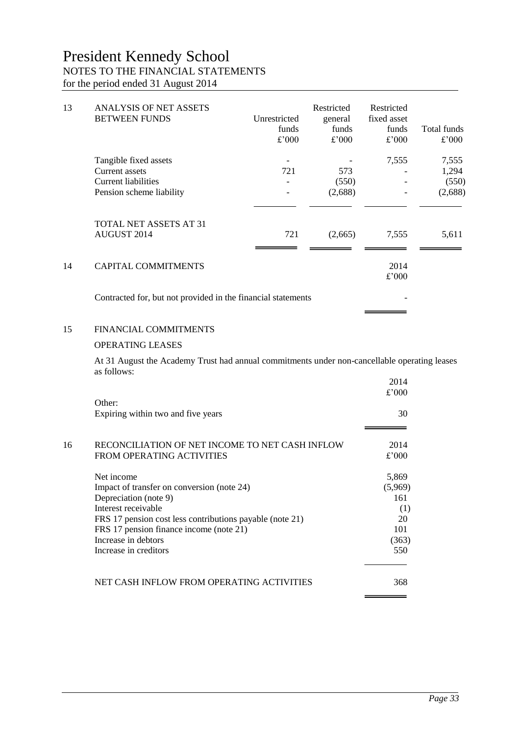| 13 | <b>ANALYSIS OF NET ASSETS</b><br><b>BETWEEN FUNDS</b>        | Unrestricted<br>funds<br>£'000 | Restricted<br>general<br>funds<br>£'000 | Restricted<br>fixed asset<br>funds<br>£'000 | Total funds<br>£'000 |
|----|--------------------------------------------------------------|--------------------------------|-----------------------------------------|---------------------------------------------|----------------------|
|    | Tangible fixed assets                                        |                                |                                         | 7,555                                       | 7,555                |
|    | Current assets                                               | 721                            | 573                                     |                                             | 1,294                |
|    | <b>Current liabilities</b>                                   |                                | (550)                                   |                                             | (550)                |
|    | Pension scheme liability                                     |                                | (2,688)                                 |                                             | (2,688)              |
|    | TOTAL NET ASSETS AT 31<br><b>AUGUST 2014</b>                 | 721                            | (2,665)                                 | 7,555                                       | 5,611                |
| 14 | <b>CAPITAL COMMITMENTS</b>                                   |                                |                                         | 2014<br>£'000                               |                      |
|    | Contracted for, but not provided in the financial statements |                                |                                         |                                             |                      |

#### 15 FINANCIAL COMMITMENTS

#### OPERATING LEASES

At 31 August the Academy Trust had annual commitments under non-cancellable operating leases as follows:  $2014$ 

 $\equiv$ 

|    |                                                          | 2014<br>£'000 |
|----|----------------------------------------------------------|---------------|
|    | Other:<br>Expiring within two and five years             | 30            |
|    |                                                          |               |
| 16 | RECONCILIATION OF NET INCOME TO NET CASH INFLOW          | 2014          |
|    | <b>FROM OPERATING ACTIVITIES</b>                         | £'000         |
|    | Net income                                               | 5,869         |
|    | Impact of transfer on conversion (note 24)               | (5,969)       |
|    | Depreciation (note 9)                                    | 161           |
|    | Interest receivable                                      | (1)           |
|    | FRS 17 pension cost less contributions payable (note 21) | 20            |
|    | FRS 17 pension finance income (note 21)                  | 101           |
|    | Increase in debtors                                      | (363)         |
|    | Increase in creditors                                    | 550           |
|    | NET CASH INFLOW FROM OPERATING ACTIVITIES                | 368           |
|    |                                                          |               |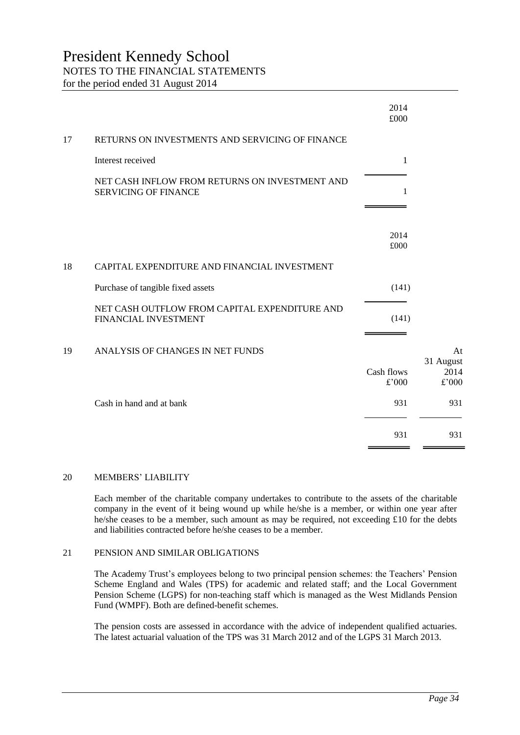|    |                                                                               | 2014<br>£000 |                         |
|----|-------------------------------------------------------------------------------|--------------|-------------------------|
| 17 | RETURNS ON INVESTMENTS AND SERVICING OF FINANCE                               |              |                         |
|    | Interest received                                                             | $\mathbf{1}$ |                         |
|    | NET CASH INFLOW FROM RETURNS ON INVESTMENT AND<br><b>SERVICING OF FINANCE</b> | 1            |                         |
|    |                                                                               | 2014<br>£000 |                         |
| 18 | CAPITAL EXPENDITURE AND FINANCIAL INVESTMENT                                  |              |                         |
|    | Purchase of tangible fixed assets                                             | (141)        |                         |
|    | NET CASH OUTFLOW FROM CAPITAL EXPENDITURE AND<br>FINANCIAL INVESTMENT         | (141)        |                         |
| 19 | ANALYSIS OF CHANGES IN NET FUNDS                                              | Cash flows   | At<br>31 August<br>2014 |
|    |                                                                               | £'000        | £'000                   |
|    | Cash in hand and at bank                                                      | 931          | 931                     |
|    |                                                                               | 931          | 931                     |

#### 20 MEMBERS' LIABILITY

Each member of the charitable company undertakes to contribute to the assets of the charitable company in the event of it being wound up while he/she is a member, or within one year after he/she ceases to be a member, such amount as may be required, not exceeding £10 for the debts and liabilities contracted before he/she ceases to be a member.

#### 21 PENSION AND SIMILAR OBLIGATIONS

The Academy Trust's employees belong to two principal pension schemes: the Teachers' Pension Scheme England and Wales (TPS) for academic and related staff; and the Local Government Pension Scheme (LGPS) for non-teaching staff which is managed as the West Midlands Pension Fund (WMPF). Both are defined-benefit schemes.

The pension costs are assessed in accordance with the advice of independent qualified actuaries. The latest actuarial valuation of the TPS was 31 March 2012 and of the LGPS 31 March 2013.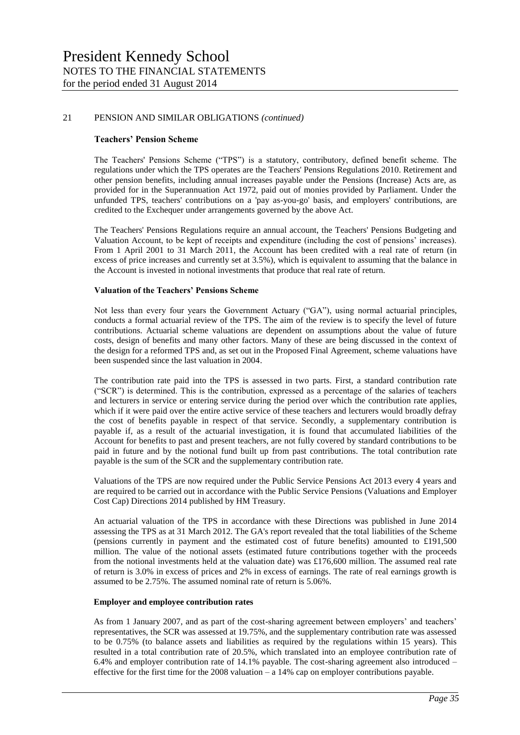#### 21 PENSION AND SIMILAR OBLIGATIONS *(continued)*

#### **Teachers' Pension Scheme**

The Teachers' Pensions Scheme ("TPS") is a statutory, contributory, defined benefit scheme. The regulations under which the TPS operates are the Teachers' Pensions Regulations 2010. Retirement and other pension benefits, including annual increases payable under the Pensions (Increase) Acts are, as provided for in the Superannuation Act 1972, paid out of monies provided by Parliament. Under the unfunded TPS, teachers' contributions on a 'pay as-you-go' basis, and employers' contributions, are credited to the Exchequer under arrangements governed by the above Act.

The Teachers' Pensions Regulations require an annual account, the Teachers' Pensions Budgeting and Valuation Account, to be kept of receipts and expenditure (including the cost of pensions' increases). From 1 April 2001 to 31 March 2011, the Account has been credited with a real rate of return (in excess of price increases and currently set at 3.5%), which is equivalent to assuming that the balance in the Account is invested in notional investments that produce that real rate of return.

#### **Valuation of the Teachers' Pensions Scheme**

Not less than every four years the Government Actuary ("GA"), using normal actuarial principles, conducts a formal actuarial review of the TPS. The aim of the review is to specify the level of future contributions. Actuarial scheme valuations are dependent on assumptions about the value of future costs, design of benefits and many other factors. Many of these are being discussed in the context of the design for a reformed TPS and, as set out in the Proposed Final Agreement, scheme valuations have been suspended since the last valuation in 2004.

The contribution rate paid into the TPS is assessed in two parts. First, a standard contribution rate ("SCR") is determined. This is the contribution, expressed as a percentage of the salaries of teachers and lecturers in service or entering service during the period over which the contribution rate applies, which if it were paid over the entire active service of these teachers and lecturers would broadly defray the cost of benefits payable in respect of that service. Secondly, a supplementary contribution is payable if, as a result of the actuarial investigation, it is found that accumulated liabilities of the Account for benefits to past and present teachers, are not fully covered by standard contributions to be paid in future and by the notional fund built up from past contributions. The total contribution rate payable is the sum of the SCR and the supplementary contribution rate.

Valuations of the TPS are now required under the Public Service Pensions Act 2013 every 4 years and are required to be carried out in accordance with the Public Service Pensions (Valuations and Employer Cost Cap) Directions 2014 published by HM Treasury.

An actuarial valuation of the TPS in accordance with these Directions was published in June 2014 assessing the TPS as at 31 March 2012. The GA's report revealed that the total liabilities of the Scheme (pensions currently in payment and the estimated cost of future benefits) amounted to £191,500 million. The value of the notional assets (estimated future contributions together with the proceeds from the notional investments held at the valuation date) was £176,600 million. The assumed real rate of return is 3.0% in excess of prices and 2% in excess of earnings. The rate of real earnings growth is assumed to be 2.75%. The assumed nominal rate of return is 5.06%.

#### **Employer and employee contribution rates**

As from 1 January 2007, and as part of the cost-sharing agreement between employers' and teachers' representatives, the SCR was assessed at 19.75%, and the supplementary contribution rate was assessed to be 0.75% (to balance assets and liabilities as required by the regulations within 15 years). This resulted in a total contribution rate of 20.5%, which translated into an employee contribution rate of 6.4% and employer contribution rate of 14.1% payable. The cost-sharing agreement also introduced – effective for the first time for the 2008 valuation – a 14% cap on employer contributions payable.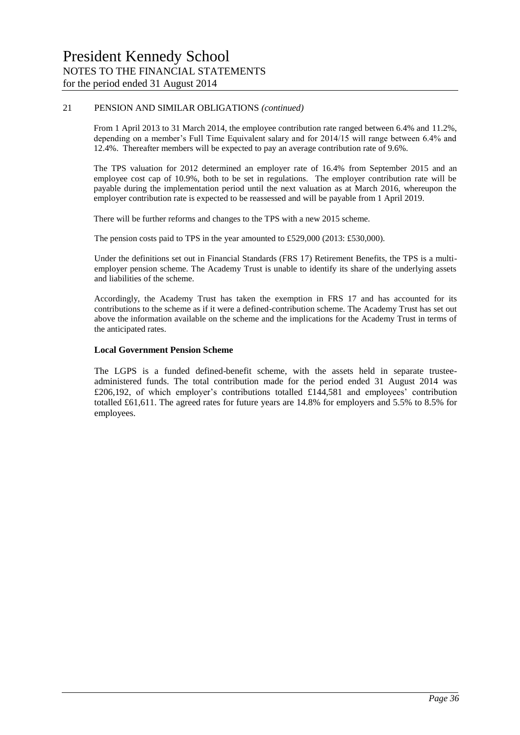#### 21 PENSION AND SIMILAR OBLIGATIONS *(continued)*

From 1 April 2013 to 31 March 2014, the employee contribution rate ranged between 6.4% and 11.2%, depending on a member's Full Time Equivalent salary and for 2014/15 will range between 6.4% and 12.4%. Thereafter members will be expected to pay an average contribution rate of 9.6%.

The TPS valuation for 2012 determined an employer rate of 16.4% from September 2015 and an employee cost cap of 10.9%, both to be set in regulations. The employer contribution rate will be payable during the implementation period until the next valuation as at March 2016, whereupon the employer contribution rate is expected to be reassessed and will be payable from 1 April 2019.

There will be further reforms and changes to the TPS with a new 2015 scheme.

The pension costs paid to TPS in the year amounted to £529,000 (2013: £530,000).

Under the definitions set out in Financial Standards (FRS 17) Retirement Benefits, the TPS is a multiemployer pension scheme. The Academy Trust is unable to identify its share of the underlying assets and liabilities of the scheme.

Accordingly, the Academy Trust has taken the exemption in FRS 17 and has accounted for its contributions to the scheme as if it were a defined-contribution scheme. The Academy Trust has set out above the information available on the scheme and the implications for the Academy Trust in terms of the anticipated rates.

#### **Local Government Pension Scheme**

The LGPS is a funded defined-benefit scheme, with the assets held in separate trusteeadministered funds. The total contribution made for the period ended 31 August 2014 was £206,192, of which employer's contributions totalled £144,581 and employees' contribution totalled £61,611. The agreed rates for future years are 14.8% for employers and 5.5% to 8.5% for employees.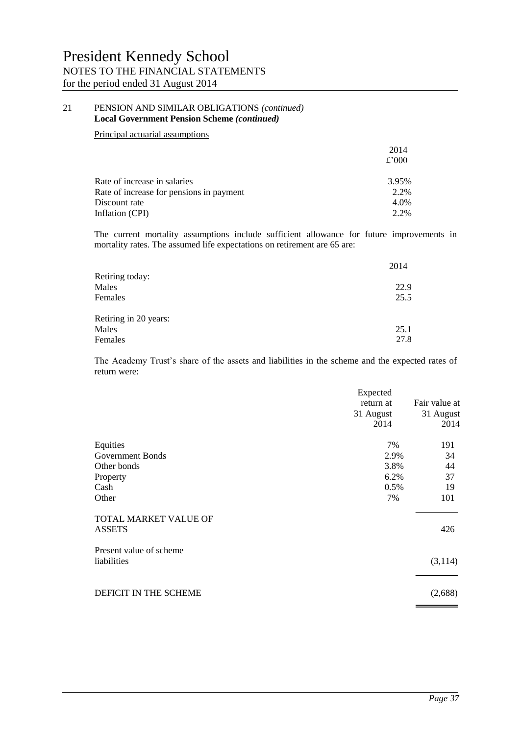#### 21 PENSION AND SIMILAR OBLIGATIONS *(continued)* **Local Government Pension Scheme** *(continued)*

#### Principal actuarial assumptions

|                                          | 2014  |
|------------------------------------------|-------|
|                                          | £'000 |
| Rate of increase in salaries             | 3.95% |
| Rate of increase for pensions in payment | 2.2%  |
| Discount rate                            | 4.0%  |
| Inflation (CPI)                          | 2.2%  |
|                                          |       |

The current mortality assumptions include sufficient allowance for future improvements in mortality rates. The assumed life expectations on retirement are 65 are:

|                       | 2014 |
|-----------------------|------|
| Retiring today:       |      |
| Males                 | 22.9 |
| Females               | 25.5 |
| Retiring in 20 years: |      |
| Males                 | 25.1 |
| Females               | 27.8 |

The Academy Trust's share of the assets and liabilities in the scheme and the expected rates of return were:

|                                        | Expected<br>return at<br>31 August<br>2014 | Fair value at<br>31 August<br>2014 |
|----------------------------------------|--------------------------------------------|------------------------------------|
| Equities                               | 7%                                         | 191                                |
| <b>Government Bonds</b>                | 2.9%                                       | 34                                 |
| Other bonds                            | 3.8%                                       | 44                                 |
| Property                               | 6.2%                                       | 37                                 |
| Cash                                   | 0.5%                                       | 19                                 |
| Other                                  | 7%                                         | 101                                |
| TOTAL MARKET VALUE OF<br><b>ASSETS</b> |                                            | 426                                |
| Present value of scheme<br>liabilities |                                            | (3,114)                            |
| DEFICIT IN THE SCHEME                  |                                            | (2,688)                            |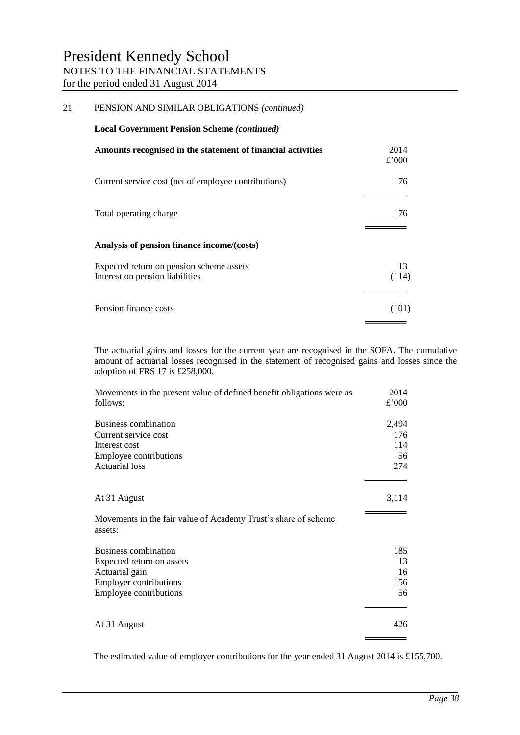| 21 | PENSION AND SIMILAR OBLIGATIONS (continued)                                 |               |
|----|-----------------------------------------------------------------------------|---------------|
|    | <b>Local Government Pension Scheme (continued)</b>                          |               |
|    | Amounts recognised in the statement of financial activities                 | 2014<br>£'000 |
|    | Current service cost (net of employee contributions)                        | 176           |
|    | Total operating charge                                                      | 176           |
|    | Analysis of pension finance income/(costs)                                  |               |
|    | Expected return on pension scheme assets<br>Interest on pension liabilities | 13<br>(114)   |
|    | Pension finance costs                                                       | (101)         |

The actuarial gains and losses for the current year are recognised in the SOFA. The cumulative amount of actuarial losses recognised in the statement of recognised gains and losses since the adoption of FRS 17 is £258,000.

| Movements in the present value of defined benefit obligations were as<br>follows: | 2014<br>£'000 |
|-----------------------------------------------------------------------------------|---------------|
| Business combination                                                              | 2,494         |
| Current service cost                                                              | 176           |
| Interest cost                                                                     | 114           |
| Employee contributions                                                            | 56            |
| <b>Actuarial loss</b>                                                             | 274           |
| At 31 August                                                                      | 3,114         |
|                                                                                   |               |
| Movements in the fair value of Academy Trust's share of scheme<br>assets:         |               |
| <b>Business combination</b>                                                       | 185           |
| Expected return on assets                                                         | 13            |
| Actuarial gain                                                                    | 16            |
| <b>Employer contributions</b>                                                     | 156           |
| Employee contributions                                                            | 56            |
|                                                                                   |               |
| At 31 August                                                                      | 426           |
|                                                                                   |               |

The estimated value of employer contributions for the year ended 31 August 2014 is £155,700.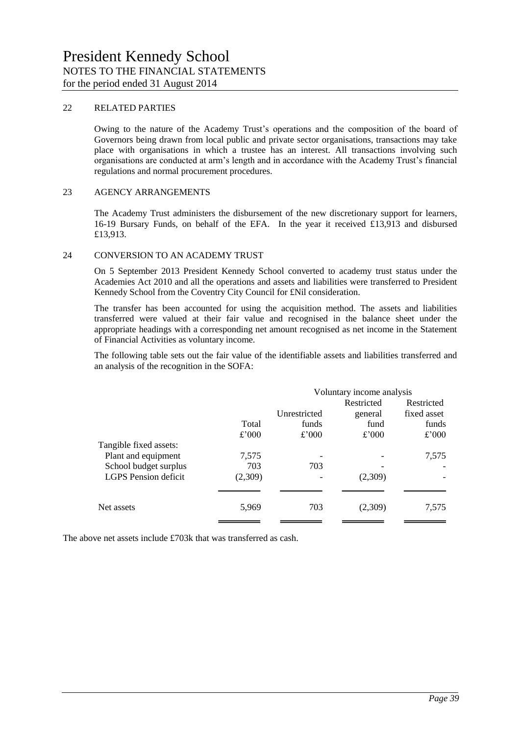#### 22 RELATED PARTIES

Owing to the nature of the Academy Trust's operations and the composition of the board of Governors being drawn from local public and private sector organisations, transactions may take place with organisations in which a trustee has an interest. All transactions involving such organisations are conducted at arm's length and in accordance with the Academy Trust's financial regulations and normal procurement procedures.

#### 23 AGENCY ARRANGEMENTS

The Academy Trust administers the disbursement of the new discretionary support for learners, 16-19 Bursary Funds, on behalf of the EFA. In the year it received £13,913 and disbursed £13,913.

#### 24 CONVERSION TO AN ACADEMY TRUST

On 5 September 2013 President Kennedy School converted to academy trust status under the Academies Act 2010 and all the operations and assets and liabilities were transferred to President Kennedy School from the Coventry City Council for £Nil consideration.

The transfer has been accounted for using the acquisition method. The assets and liabilities transferred were valued at their fair value and recognised in the balance sheet under the appropriate headings with a corresponding net amount recognised as net income in the Statement of Financial Activities as voluntary income.

The following table sets out the fair value of the identifiable assets and liabilities transferred and an analysis of the recognition in the SOFA:

|                             |         | Voluntary income analysis |            |             |
|-----------------------------|---------|---------------------------|------------|-------------|
|                             |         |                           | Restricted | Restricted  |
|                             |         | Unrestricted              | general    | fixed asset |
|                             | Total   | funds                     | fund       | funds       |
|                             | £'000   | £'000                     | £'000      | £'000       |
| Tangible fixed assets:      |         |                           |            |             |
| Plant and equipment         | 7,575   |                           |            | 7,575       |
| School budget surplus       | 703     | 703                       |            |             |
| <b>LGPS</b> Pension deficit | (2,309) |                           | (2,309)    |             |
|                             |         |                           |            |             |
| Net assets                  | 5,969   | 703                       | (2,309)    | 7,575       |

The above net assets include £703k that was transferred as cash.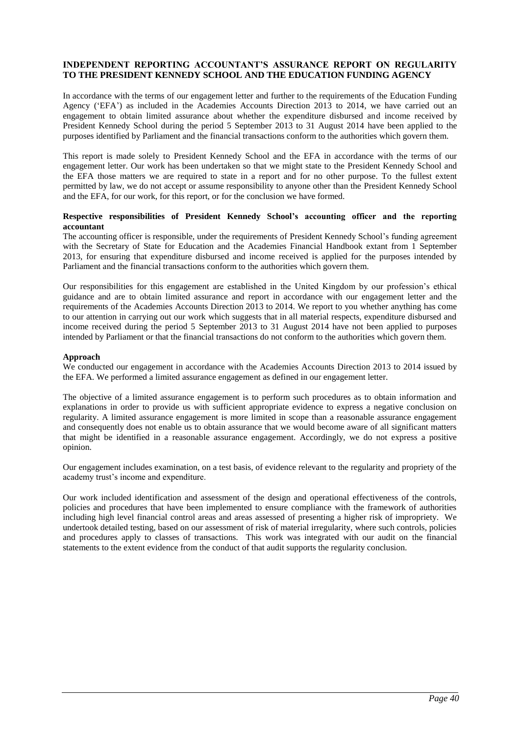#### **INDEPENDENT REPORTING ACCOUNTANT'S ASSURANCE REPORT ON REGULARITY TO THE PRESIDENT KENNEDY SCHOOL AND THE EDUCATION FUNDING AGENCY**

In accordance with the terms of our engagement letter and further to the requirements of the Education Funding Agency ('EFA') as included in the Academies Accounts Direction 2013 to 2014, we have carried out an engagement to obtain limited assurance about whether the expenditure disbursed and income received by President Kennedy School during the period 5 September 2013 to 31 August 2014 have been applied to the purposes identified by Parliament and the financial transactions conform to the authorities which govern them.

This report is made solely to President Kennedy School and the EFA in accordance with the terms of our engagement letter. Our work has been undertaken so that we might state to the President Kennedy School and the EFA those matters we are required to state in a report and for no other purpose. To the fullest extent permitted by law, we do not accept or assume responsibility to anyone other than the President Kennedy School and the EFA, for our work, for this report, or for the conclusion we have formed.

#### **Respective responsibilities of President Kennedy School's accounting officer and the reporting accountant**

The accounting officer is responsible, under the requirements of President Kennedy School's funding agreement with the Secretary of State for Education and the Academies Financial Handbook extant from 1 September 2013, for ensuring that expenditure disbursed and income received is applied for the purposes intended by Parliament and the financial transactions conform to the authorities which govern them.

Our responsibilities for this engagement are established in the United Kingdom by our profession's ethical guidance and are to obtain limited assurance and report in accordance with our engagement letter and the requirements of the Academies Accounts Direction 2013 to 2014. We report to you whether anything has come to our attention in carrying out our work which suggests that in all material respects, expenditure disbursed and income received during the period 5 September 2013 to 31 August 2014 have not been applied to purposes intended by Parliament or that the financial transactions do not conform to the authorities which govern them.

#### **Approach**

We conducted our engagement in accordance with the Academies Accounts Direction 2013 to 2014 issued by the EFA. We performed a limited assurance engagement as defined in our engagement letter.

The objective of a limited assurance engagement is to perform such procedures as to obtain information and explanations in order to provide us with sufficient appropriate evidence to express a negative conclusion on regularity. A limited assurance engagement is more limited in scope than a reasonable assurance engagement and consequently does not enable us to obtain assurance that we would become aware of all significant matters that might be identified in a reasonable assurance engagement. Accordingly, we do not express a positive opinion.

Our engagement includes examination, on a test basis, of evidence relevant to the regularity and propriety of the academy trust's income and expenditure.

Our work included identification and assessment of the design and operational effectiveness of the controls, policies and procedures that have been implemented to ensure compliance with the framework of authorities including high level financial control areas and areas assessed of presenting a higher risk of impropriety. We undertook detailed testing, based on our assessment of risk of material irregularity, where such controls, policies and procedures apply to classes of transactions. This work was integrated with our audit on the financial statements to the extent evidence from the conduct of that audit supports the regularity conclusion.